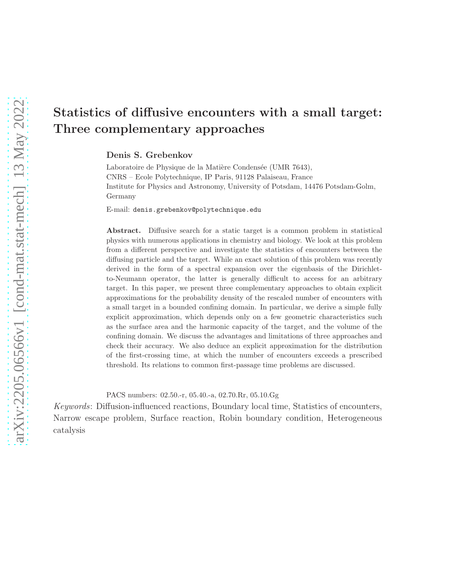# Statistics of diffusive encounters with a small target: Three complementary approaches

## Denis S. Grebenkov

Laboratoire de Physique de la Matière Condensée (UMR 7643), CNRS – Ecole Polytechnique, IP Paris, 91128 Palaiseau, France Institute for Physics and Astronomy, University of Potsdam, 14476 Potsdam-Golm, Germany

E-mail: denis.grebenkov@polytechnique.edu

Abstract. Diffusive search for a static target is a common problem in statistical physics with numerous applications in chemistry and biology. We look at this problem from a different perspective and investigate the statistics of encounters between the diffusing particle and the target. While an exact solution of this problem was recently derived in the form of a spectral expansion over the eigenbasis of the Dirichletto-Neumann operator, the latter is generally difficult to access for an arbitrary target. In this paper, we present three complementary approaches to obtain explicit approximations for the probability density of the rescaled number of encounters with a small target in a bounded confining domain. In particular, we derive a simple fully explicit approximation, which depends only on a few geometric characteristics such as the surface area and the harmonic capacity of the target, and the volume of the confining domain. We discuss the advantages and limitations of three approaches and check their accuracy. We also deduce an explicit approximation for the distribution of the first-crossing time, at which the number of encounters exceeds a prescribed threshold. Its relations to common first-passage time problems are discussed.

PACS numbers: 02.50.-r, 05.40.-a, 02.70.Rr, 05.10.Gg

Keywords: Diffusion-influenced reactions, Boundary local time, Statistics of encounters, Narrow escape problem, Surface reaction, Robin boundary condition, Heterogeneous catalysis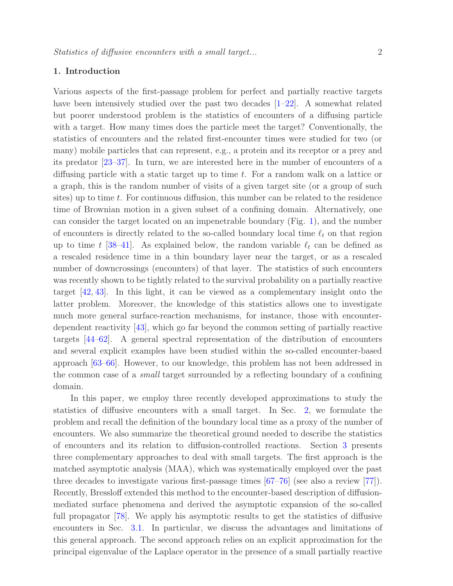# 1. Introduction

Various aspects of the first-passage problem for perfect and partially reactive targets have been intensively studied over the past two decades  $[1–22]$  $[1–22]$ . A somewhat related but poorer understood problem is the statistics of encounters of a diffusing particle with a target. How many times does the particle meet the target? Conventionally, the statistics of encounters and the related first-encounter times were studied for two (or many) mobile particles that can represent, e.g., a protein and its receptor or a prey and its predator [\[23–](#page-28-2)[37\]](#page-29-0). In turn, we are interested here in the number of encounters of a diffusing particle with a static target up to time t. For a random walk on a lattice or a graph, this is the random number of visits of a given target site (or a group of such sites) up to time  $t$ . For continuous diffusion, this number can be related to the residence time of Brownian motion in a given subset of a confining domain. Alternatively, one can consider the target located on an impenetrable boundary (Fig. [1\)](#page-2-0), and the number of encounters is directly related to the so-called boundary local time  $\ell_t$  on that region up to time t [\[38–](#page-29-1)[41\]](#page-29-2). As explained below, the random variable  $\ell_t$  can be defined as a rescaled residence time in a thin boundary layer near the target, or as a rescaled number of downcrossings (encounters) of that layer. The statistics of such encounters was recently shown to be tightly related to the survival probability on a partially reactive target [\[42,](#page-29-3) [43\]](#page-29-4). In this light, it can be viewed as a complementary insight onto the latter problem. Moreover, the knowledge of this statistics allows one to investigate much more general surface-reaction mechanisms, for instance, those with encounterdependent reactivity [\[43\]](#page-29-4), which go far beyond the common setting of partially reactive targets [\[44–](#page-29-5)[62\]](#page-30-0). A general spectral representation of the distribution of encounters and several explicit examples have been studied within the so-called encounter-based approach [\[63–](#page-30-1)[66\]](#page-30-2). However, to our knowledge, this problem has not been addressed in the common case of a small target surrounded by a reflecting boundary of a confining domain.

In this paper, we employ three recently developed approximations to study the statistics of diffusive encounters with a small target. In Sec. [2,](#page-2-1) we formulate the problem and recall the definition of the boundary local time as a proxy of the number of encounters. We also summarize the theoretical ground needed to describe the statistics of encounters and its relation to diffusion-controlled reactions. Section [3](#page-7-0) presents three complementary approaches to deal with small targets. The first approach is the matched asymptotic analysis (MAA), which was systematically employed over the past three decades to investigate various first-passage times [\[67–](#page-30-3)[76\]](#page-30-4) (see also a review [\[77\]](#page-31-0)). Recently, Bressloff extended this method to the encounter-based description of diffusionmediated surface phenomena and derived the asymptotic expansion of the so-called full propagator [\[78\]](#page-31-1). We apply his asymptotic results to get the statistics of diffusive encounters in Sec. [3.1.](#page-8-0) In particular, we discuss the advantages and limitations of this general approach. The second approach relies on an explicit approximation for the principal eigenvalue of the Laplace operator in the presence of a small partially reactive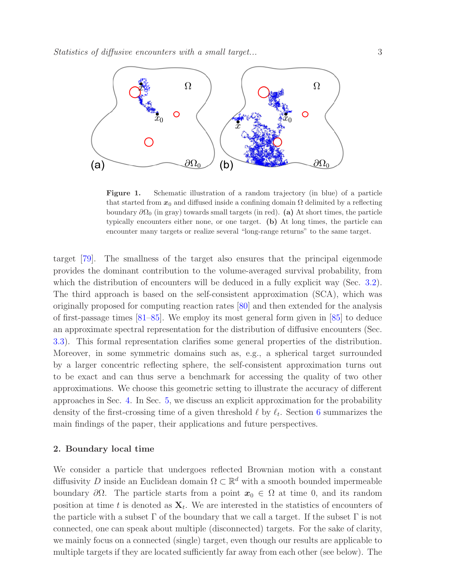

<span id="page-2-0"></span>Figure 1. Schematic illustration of a random trajectory (in blue) of a particle that started from  $x_0$  and diffused inside a confining domain  $\Omega$  delimited by a reflecting boundary  $\partial\Omega_0$  (in gray) towards small targets (in red). (a) At short times, the particle typically encounters either none, or one target. (b) At long times, the particle can encounter many targets or realize several "long-range returns" to the same target.

target [\[79\]](#page-31-2). The smallness of the target also ensures that the principal eigenmode provides the dominant contribution to the volume-averaged survival probability, from which the distribution of encounters will be deduced in a fully explicit way (Sec. [3.2\)](#page-11-0). The third approach is based on the self-consistent approximation (SCA), which was originally proposed for computing reaction rates [\[80\]](#page-31-3) and then extended for the analysis of first-passage times [\[81](#page-31-4)[–85\]](#page-31-5). We employ its most general form given in [\[85\]](#page-31-5) to deduce an approximate spectral representation for the distribution of diffusive encounters (Sec. [3.3\)](#page-13-0). This formal representation clarifies some general properties of the distribution. Moreover, in some symmetric domains such as, e.g., a spherical target surrounded by a larger concentric reflecting sphere, the self-consistent approximation turns out to be exact and can thus serve a benchmark for accessing the quality of two other approximations. We choose this geometric setting to illustrate the accuracy of different approaches in Sec. [4.](#page-15-0) In Sec. [5,](#page-19-0) we discuss an explicit approximation for the probability density of the first-crossing time of a given threshold  $\ell$  by  $\ell_t$ . Section [6](#page-21-0) summarizes the main findings of the paper, their applications and future perspectives.

#### <span id="page-2-1"></span>2. Boundary local time

We consider a particle that undergoes reflected Brownian motion with a constant diffusivity D inside an Euclidean domain  $\Omega \subset \mathbb{R}^d$  with a smooth bounded impermeable boundary  $\partial\Omega$ . The particle starts from a point  $x_0 \in \Omega$  at time 0, and its random position at time t is denoted as  $\mathbf{X}_t$ . We are interested in the statistics of encounters of the particle with a subset  $\Gamma$  of the boundary that we call a target. If the subset  $\Gamma$  is not connected, one can speak about multiple (disconnected) targets. For the sake of clarity, we mainly focus on a connected (single) target, even though our results are applicable to multiple targets if they are located sufficiently far away from each other (see below). The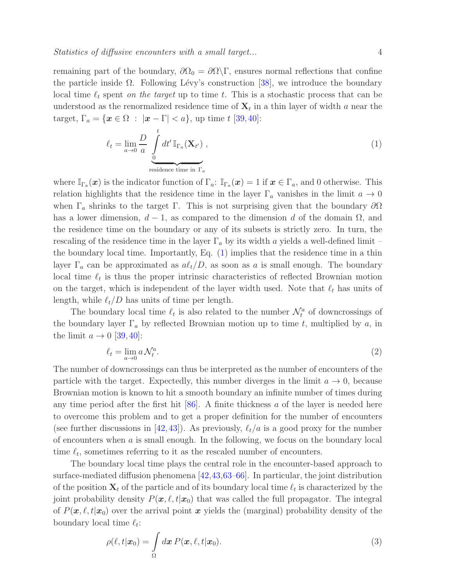remaining part of the boundary,  $\partial\Omega_0 = \partial\Omega\backslash\Gamma$ , ensures normal reflections that confine the particle inside  $\Omega$ . Following Lévy's construction [\[38\]](#page-29-1), we introduce the boundary local time  $\ell_t$  spent on the target up to time t. This is a stochastic process that can be understood as the renormalized residence time of  $\mathbf{X}_t$  in a thin layer of width a near the target,  $\Gamma_a = \{ \mathbf{x} \in \Omega : |\mathbf{x} - \Gamma| < a \},\$ up time  $t$  [\[39,](#page-29-6)[40\]](#page-29-7):

<span id="page-3-0"></span>
$$
\ell_t = \lim_{a \to 0} \frac{D}{a} \int_{\text{residence time in } \Gamma_a}^t dt' \mathbb{I}_{\Gamma_a}(\mathbf{X}_{t'}) ,
$$
\n(1)

where  $\mathbb{I}_{\Gamma_a}(\boldsymbol{x})$  is the indicator function of  $\Gamma_a: \mathbb{I}_{\Gamma_a}(\boldsymbol{x}) = 1$  if  $\boldsymbol{x} \in \Gamma_a$ , and 0 otherwise. This relation highlights that the residence time in the layer  $\Gamma_a$  vanishes in the limit  $a \to 0$ when  $\Gamma_a$  shrinks to the target  $\Gamma$ . This is not surprising given that the boundary  $\partial\Omega$ has a lower dimension,  $d-1$ , as compared to the dimension d of the domain  $\Omega$ , and the residence time on the boundary or any of its subsets is strictly zero. In turn, the rescaling of the residence time in the layer  $\Gamma_a$  by its width a yields a well-defined limit – the boundary local time. Importantly, Eq. [\(1\)](#page-3-0) implies that the residence time in a thin layer  $\Gamma_a$  can be approximated as  $a\ell_t/D$ , as soon as a is small enough. The boundary local time  $\ell_t$  is thus the proper intrinsic characteristics of reflected Brownian motion on the target, which is independent of the layer width used. Note that  $\ell_t$  has units of length, while  $\ell_t/D$  has units of time per length.

The boundary local time  $\ell_t$  is also related to the number  $\mathcal{N}_t^a$  of downcrossings of the boundary layer  $\Gamma_a$  by reflected Brownian motion up to time t, multiplied by a, in the limit  $a \rightarrow 0$  [\[39,](#page-29-6) [40\]](#page-29-7):

$$
\ell_t = \lim_{a \to 0} a \mathcal{N}_t^a. \tag{2}
$$

The number of downcrossings can thus be interpreted as the number of encounters of the particle with the target. Expectedly, this number diverges in the limit  $a \to 0$ , because Brownian motion is known to hit a smooth boundary an infinite number of times during any time period after the first hit  $[86]$ . A finite thickness a of the layer is needed here to overcome this problem and to get a proper definition for the number of encounters (see further discussions in [\[42,](#page-29-3) [43\]](#page-29-4)). As previously,  $\ell_t/a$  is a good proxy for the number of encounters when  $\alpha$  is small enough. In the following, we focus on the boundary local time  $\ell_t$ , sometimes referring to it as the rescaled number of encounters.

The boundary local time plays the central role in the encounter-based approach to surface-mediated diffusion phenomena [\[42](#page-29-3)[,43,](#page-29-4)[63](#page-30-1)[–66\]](#page-30-2). In particular, the joint distribution of the position  $\mathbf{X}_t$  of the particle and of its boundary local time  $\ell_t$  is characterized by the joint probability density  $P(x, \ell, t|x_0)$  that was called the full propagator. The integral of  $P(\mathbf{x}, \ell, t|\mathbf{x}_0)$  over the arrival point x yields the (marginal) probability density of the boundary local time  $\ell_t$ :

<span id="page-3-1"></span>
$$
\rho(\ell, t|\boldsymbol{x}_0) = \int_{\Omega} d\boldsymbol{x} P(\boldsymbol{x}, \ell, t|\boldsymbol{x}_0).
$$
\n(3)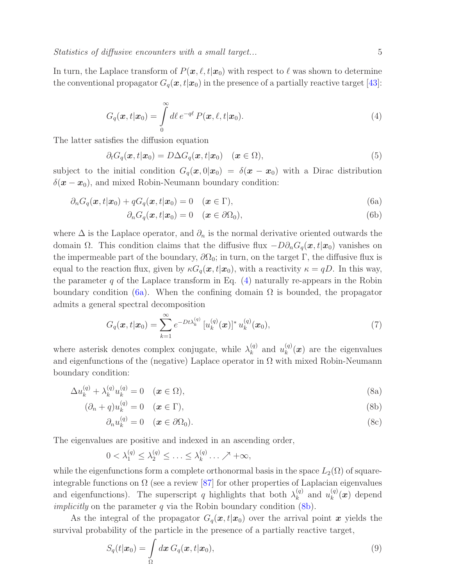<span id="page-4-0"></span>In turn, the Laplace transform of  $P(x, \ell, t|x_0)$  with respect to  $\ell$  was shown to determine the conventional propagator  $G_q(\mathbf{x}, t|\mathbf{x}_0)$  in the presence of a partially reactive target [\[43\]](#page-29-4):

$$
G_q(\boldsymbol{x},t|\boldsymbol{x}_0) = \int\limits_0^\infty d\ell \, e^{-q\ell} \, P(\boldsymbol{x},\ell,t|\boldsymbol{x}_0). \tag{4}
$$

The latter satisfies the diffusion equation

$$
\partial_t G_q(\boldsymbol{x}, t | \boldsymbol{x}_0) = D \Delta G_q(\boldsymbol{x}, t | \boldsymbol{x}_0) \quad (\boldsymbol{x} \in \Omega), \tag{5}
$$

subject to the initial condition  $G_q(\boldsymbol{x}, 0|\boldsymbol{x}_0) = \delta(\boldsymbol{x} - \boldsymbol{x}_0)$  with a Dirac distribution  $\delta(\mathbf{x}-\mathbf{x}_0)$ , and mixed Robin-Neumann boundary condition:

$$
\partial_n G_q(\boldsymbol{x}, t | \boldsymbol{x}_0) + q G_q(\boldsymbol{x}, t | \boldsymbol{x}_0) = 0 \quad (\boldsymbol{x} \in \Gamma), \tag{6a}
$$

<span id="page-4-1"></span>
$$
\partial_n G_q(\boldsymbol{x}, t | \boldsymbol{x}_0) = 0 \quad (\boldsymbol{x} \in \partial \Omega_0), \tag{6b}
$$

where  $\Delta$  is the Laplace operator, and  $\partial_n$  is the normal derivative oriented outwards the domain  $\Omega$ . This condition claims that the diffusive flux  $-D\partial_nG_q(\bm{x}, t|\bm{x}_0)$  vanishes on the impermeable part of the boundary,  $\partial\Omega_0$ ; in turn, on the target Γ, the diffusive flux is equal to the reaction flux, given by  $\kappa G_q(\mathbf{x}, t|\mathbf{x}_0)$ , with a reactivity  $\kappa = qD$ . In this way, the parameter  $q$  of the Laplace transform in Eq.  $(4)$  naturally re-appears in the Robin boundary condition [\(6a\)](#page-4-1). When the confining domain  $\Omega$  is bounded, the propagator admits a general spectral decomposition

<span id="page-4-3"></span>
$$
G_q(\boldsymbol{x}, t | \boldsymbol{x}_0) = \sum_{k=1}^{\infty} e^{-Dt\lambda_k^{(q)}} \left[ u_k^{(q)}(\boldsymbol{x}) \right]^* u_k^{(q)}(\boldsymbol{x}_0), \tag{7}
$$

where asterisk denotes complex conjugate, while  $\lambda_k^{(q)}$  $\begin{bmatrix} (q) \\ k \end{bmatrix}$  and  $u_k^{(q)}$  $\binom{(q)}{k}$  are the eigenvalues and eigenfunctions of the (negative) Laplace operator in  $\Omega$  with mixed Robin-Neumann boundary condition:

$$
\Delta u_k^{(q)} + \lambda_k^{(q)} u_k^{(q)} = 0 \quad (\boldsymbol{x} \in \Omega), \tag{8a}
$$

$$
(\partial_n + q)u_k^{(q)} = 0 \quad (\boldsymbol{x} \in \Gamma), \tag{8b}
$$

<span id="page-4-2"></span>
$$
\partial_n u_k^{(q)} = 0 \quad (\boldsymbol{x} \in \partial \Omega_0). \tag{8c}
$$

The eigenvalues are positive and indexed in an ascending order,

$$
0 < \lambda_1^{(q)} \le \lambda_2^{(q)} \le \ldots \le \lambda_k^{(q)} \ldots \nearrow +\infty,
$$

while the eigenfunctions form a complete orthonormal basis in the space  $L_2(\Omega)$  of squareintegrable functions on  $\Omega$  (see a review [\[87\]](#page-31-7) for other properties of Laplacian eigenvalues and eigenfunctions). The superscript q highlights that both  $\lambda_k^{(q)}$  $\begin{pmatrix} q \\ k \end{pmatrix}$  and  $u_k^{(q)}$  $_{k}^{(q)}(\boldsymbol{x})$  depend *implicitly* on the parameter  $q$  via the Robin boundary condition  $(8b)$ .

As the integral of the propagator  $G_q(x, t|x_0)$  over the arrival point x yields the survival probability of the particle in the presence of a partially reactive target,

$$
S_q(t|\boldsymbol{x}_0) = \int_{\Omega} d\boldsymbol{x} \, G_q(\boldsymbol{x}, t|\boldsymbol{x}_0), \tag{9}
$$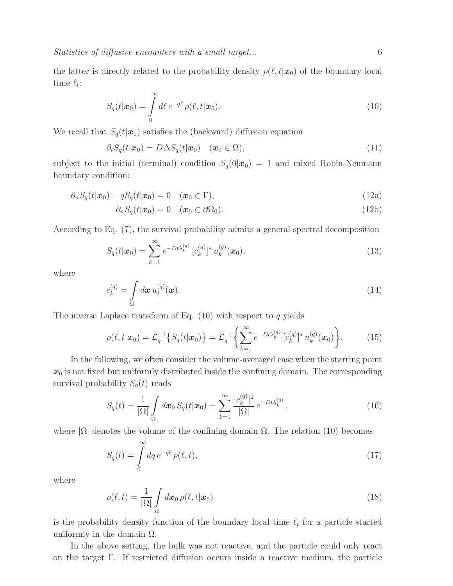the latter is directly related to the probability density  $\rho(\ell, t|\mathbf{x}_0)$  of the boundary local time  $\ell_t$ :

<span id="page-5-0"></span>
$$
S_q(t|\boldsymbol{x}_0) = \int\limits_0^\infty d\ell \, e^{-q\ell} \, \rho(\ell, t|\boldsymbol{x}_0). \tag{10}
$$

We recall that  $S_q(t|\mathbf{x}_0)$  satisfies the (backward) diffusion equation

$$
\partial_t S_q(t|\boldsymbol{x}_0) = D\Delta S_q(t|\boldsymbol{x}_0) \quad (\boldsymbol{x}_0 \in \Omega), \tag{11}
$$

subject to the initial (terminal) condition  $S_q(0|\mathbf{x}_0) = 1$  and mixed Robin-Neumann boundary condition:

$$
\partial_n S_q(t|\boldsymbol{x}_0) + qS_q(t|\boldsymbol{x}_0) = 0 \quad (\boldsymbol{x}_0 \in \Gamma), \tag{12a}
$$

$$
\partial_n S_q(t|\boldsymbol{x}_0) = 0 \quad (\boldsymbol{x}_0 \in \partial \Omega_0). \tag{12b}
$$

According to Eq. [\(7\)](#page-4-3), the survival probability admits a general spectral decomposition

$$
S_q(t|\boldsymbol{x}_0) = \sum_{k=1}^{\infty} e^{-Dt\lambda_k^{(q)}} \left[c_k^{(q)}\right]^* u_k^{(q)}(\boldsymbol{x}_0), \tag{13}
$$

<span id="page-5-3"></span>where

$$
c_k^{(q)} = \int_{\Omega} d\boldsymbol{x} \, u_k^{(q)}(\boldsymbol{x}). \tag{14}
$$

The inverse Laplace transform of Eq.  $(10)$  with respect to q yields

<span id="page-5-1"></span>
$$
\rho(\ell, t | \mathbf{x}_0) = \mathcal{L}_q^{-1} \left\{ S_q(t | \mathbf{x}_0) \right\} = \mathcal{L}_q^{-1} \left\{ \sum_{k=1}^{\infty} e^{-Dt\lambda_k^{(q)}} \left[ c_k^{(q)} \right]^* u_k^{(q)}(\mathbf{x}_0) \right\}.
$$
 (15)

In the following, we often consider the volume-averaged case when the starting point  $x_0$  is not fixed but uniformly distributed inside the confining domain. The corresponding survival probability  $S_q(t)$  reads

<span id="page-5-2"></span>
$$
S_q(t) = \frac{1}{|\Omega|} \int_{\Omega} d\boldsymbol{x}_0 \, S_q(t|\boldsymbol{x}_0) = \sum_{k=1}^{\infty} \frac{|c_k^{(q)}|^2}{|\Omega|} \, e^{-Dt\lambda_k^{(q)}}, \tag{16}
$$

where  $|\Omega|$  denotes the volume of the confining domain  $\Omega$ . The relation [\(10\)](#page-5-0) becomes

<span id="page-5-4"></span>
$$
S_q(t) = \int\limits_0^\infty dq \, e^{-q\ell} \, \rho(\ell, t),\tag{17}
$$

where

$$
\rho(\ell, t) = \frac{1}{|\Omega|} \int_{\Omega} d\boldsymbol{x}_0 \, \rho(\ell, t | \boldsymbol{x}_0) \tag{18}
$$

is the probability density function of the boundary local time  $\ell_t$  for a particle started uniformly in the domain  $\Omega$ .

In the above setting, the bulk was not reactive, and the particle could only react on the target  $\Gamma$ . If restricted diffusion occurs inside a reactive medium, the particle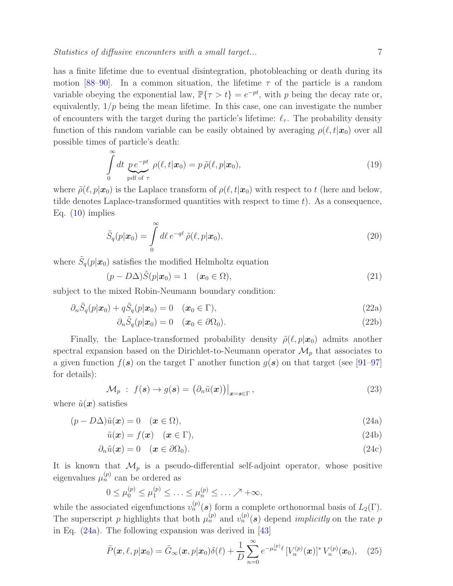has a finite lifetime due to eventual disintegration, photobleaching or death during its motion [\[88](#page-31-8)[–90\]](#page-31-9). In a common situation, the lifetime  $\tau$  of the particle is a random variable obeying the exponential law,  $\mathbb{P}\{\tau > t\} = e^{-pt}$ , with p being the decay rate or, equivalently,  $1/p$  being the mean lifetime. In this case, one can investigate the number of encounters with the target during the particle's lifetime:  $\ell_{\tau}$ . The probability density function of this random variable can be easily obtained by averaging  $\rho(\ell, t|\mathbf{x}_0)$  over all possible times of particle's death:

$$
\int_{0}^{\infty} dt \underbrace{p e^{-pt}}_{\text{pdf of }\tau} \rho(\ell, t | \mathbf{x}_0) = p \tilde{\rho}(\ell, p | \mathbf{x}_0), \tag{19}
$$

where  $\tilde{\rho}(\ell, p|\mathbf{x}_0)$  is the Laplace transform of  $\rho(\ell, t|\mathbf{x}_0)$  with respect to t (here and below, tilde denotes Laplace-transformed quantities with respect to time  $t$ ). As a consequence, Eq.  $(10)$  implies

$$
\tilde{S}_q(p|\boldsymbol{x}_0) = \int\limits_0^\infty d\ell \, e^{-q\ell} \, \tilde{\rho}(\ell, p|\boldsymbol{x}_0),\tag{20}
$$

where  $\tilde{S}_q(p|\mathbf{x}_0)$  satisfies the modified Helmholtz equation

<span id="page-6-1"></span>
$$
(p - D\Delta)\tilde{S}(p|\boldsymbol{x}_0) = 1 \quad (\boldsymbol{x}_0 \in \Omega), \tag{21}
$$

subject to the mixed Robin-Neumann boundary condition:

$$
\partial_n \tilde{S}_q(p|\boldsymbol{x}_0) + q \tilde{S}_q(p|\boldsymbol{x}_0) = 0 \quad (\boldsymbol{x}_0 \in \Gamma), \tag{22a}
$$

$$
\partial_n \tilde{S}_q(p|\boldsymbol{x}_0) = 0 \quad (\boldsymbol{x}_0 \in \partial \Omega_0). \tag{22b}
$$

Finally, the Laplace-transformed probability density  $\tilde{\rho}(\ell, p|\mathbf{x}_0)$  admits another spectral expansion based on the Dirichlet-to-Neumann operator  $\mathcal{M}_p$  that associates to a given function  $f(\mathbf{s})$  on the target  $\Gamma$  another function  $g(\mathbf{s})$  on that target (see [\[91–](#page-31-10)[97\]](#page-31-11) for details):

<span id="page-6-0"></span>
$$
\mathcal{M}_p : f(\mathbf{s}) \to g(\mathbf{s}) = \left. \left( \partial_n \tilde{u}(\mathbf{x}) \right) \right|_{\mathbf{x} = \mathbf{s} \in \Gamma}, \tag{23}
$$

where  $\tilde{u}(\boldsymbol{x})$  satisfies

$$
(p - D\Delta)\tilde{u}(\boldsymbol{x}) = 0 \quad (\boldsymbol{x} \in \Omega), \tag{24a}
$$

$$
\tilde{u}(\boldsymbol{x}) = f(\boldsymbol{x}) \quad (\boldsymbol{x} \in \Gamma), \tag{24b}
$$

$$
\partial_n \tilde{u}(\boldsymbol{x}) = 0 \quad (\boldsymbol{x} \in \partial \Omega_0). \tag{24c}
$$

It is known that  $\mathcal{M}_p$  is a pseudo-differential self-adjoint operator, whose positive eigenvalues  $\mu_n^{(p)}$  can be ordered as

$$
0 \leq \mu_0^{(p)} \leq \mu_1^{(p)} \leq \ldots \leq \mu_n^{(p)} \leq \ldots \nearrow +\infty,
$$

while the associated eigenfunctions  $v_n^{(p)}(s)$  form a complete orthonormal basis of  $L_2(\Gamma)$ . The superscript p highlights that both  $\mu_n^{(p)}$  and  $v_n^{(p)}(s)$  depend *implicitly* on the rate p in Eq. [\(24a\)](#page-6-0). The following expansion was derived in [\[43\]](#page-29-4)

$$
\tilde{P}(\boldsymbol{x},\ell,p|\boldsymbol{x}_0)=\tilde{G}_{\infty}(\boldsymbol{x},p|\boldsymbol{x}_0)\delta(\ell)+\frac{1}{D}\sum_{n=0}^{\infty}e^{-\mu_n^{(p)}\ell}\left[V_n^{(p)}(\boldsymbol{x})\right]^*V_n^{(p)}(\boldsymbol{x}_0),\quad(25)
$$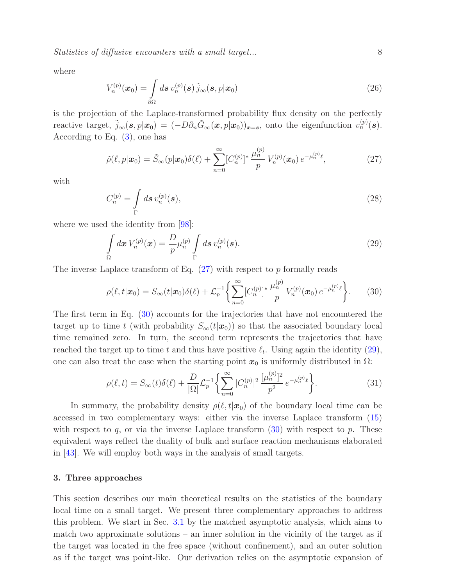Statistics of diffusive encounters with a small target... 8

<span id="page-7-4"></span>where

$$
V_n^{(p)}(\boldsymbol{x}_0) = \int\limits_{\partial\Omega} d\boldsymbol{s} \, v_n^{(p)}(\boldsymbol{s}) \, \tilde{j}_{\infty}(\boldsymbol{s}, p | \boldsymbol{x}_0) \tag{26}
$$

is the projection of the Laplace-transformed probability flux density on the perfectly reactive target,  $\tilde{j}_{\infty}(\mathbf{s}, p|\mathbf{x}_0) = (-D\partial_n \tilde{G}_{\infty}(\mathbf{x}, p|\mathbf{x}_0))_{\mathbf{x}=\mathbf{s}}$ , onto the eigenfunction  $v_n^{(p)}(\mathbf{s})$ . According to Eq. [\(3\)](#page-3-1), one has

<span id="page-7-1"></span>
$$
\tilde{\rho}(\ell, p | \mathbf{x}_0) = \tilde{S}_{\infty}(p | \mathbf{x}_0) \delta(\ell) + \sum_{n=0}^{\infty} [C_n^{(p)}]^* \frac{\mu_n^{(p)}}{p} V_n^{(p)}(\mathbf{x}_0) e^{-\mu_n^{(p)} \ell}, \tag{27}
$$

<span id="page-7-5"></span>with

$$
C_n^{(p)} = \int\limits_{\Gamma} d\boldsymbol{s} \, v_n^{(p)}(\boldsymbol{s}),\tag{28}
$$

where we used the identity from [\[98\]](#page-31-12):

<span id="page-7-3"></span>
$$
\int_{\Omega} d\boldsymbol{x} \, V_n^{(p)}(\boldsymbol{x}) = \frac{D}{p} \mu_n^{(p)} \int_{\Gamma} d\boldsymbol{s} \, v_n^{(p)}(\boldsymbol{s}). \tag{29}
$$

The inverse Laplace transform of Eq.  $(27)$  with respect to p formally reads

<span id="page-7-2"></span>
$$
\rho(\ell, t | \mathbf{x}_0) = S_{\infty}(t | \mathbf{x}_0) \delta(\ell) + \mathcal{L}_p^{-1} \left\{ \sum_{n=0}^{\infty} [C_n^{(p)}]^* \frac{\mu_n^{(p)}}{p} V_n^{(p)}(\mathbf{x}_0) e^{-\mu_n^{(p)} \ell} \right\}.
$$
 (30)

The first term in Eq. [\(30\)](#page-7-2) accounts for the trajectories that have not encountered the target up to time t (with probability  $S_{\infty}(t|\mathbf{x}_0)$ ) so that the associated boundary local time remained zero. In turn, the second term represents the trajectories that have reached the target up to time t and thus have positive  $\ell_t$ . Using again the identity [\(29\)](#page-7-3), one can also treat the case when the starting point  $x_0$  is uniformly distributed in  $\Omega$ :

<span id="page-7-6"></span>
$$
\rho(\ell, t) = S_{\infty}(t)\delta(\ell) + \frac{D}{|\Omega|}\mathcal{L}_p^{-1}\left\{\sum_{n=0}^{\infty} |C_n^{(p)}|^2 \, \frac{[\mu_n^{(p)}]^2}{p^2} \, e^{-\mu_n^{(p)}\ell}\right\}.
$$
\n(31)

In summary, the probability density  $\rho(\ell,t|\mathbf{x}_0)$  of the boundary local time can be accessed in two complementary ways: either via the inverse Laplace transform [\(15\)](#page-5-1) with respect to q, or via the inverse Laplace transform  $(30)$  with respect to p. These equivalent ways reflect the duality of bulk and surface reaction mechanisms elaborated in [\[43\]](#page-29-4). We will employ both ways in the analysis of small targets.

#### <span id="page-7-0"></span>3. Three approaches

This section describes our main theoretical results on the statistics of the boundary local time on a small target. We present three complementary approaches to address this problem. We start in Sec. [3.1](#page-8-0) by the matched asymptotic analysis, which aims to match two approximate solutions – an inner solution in the vicinity of the target as if the target was located in the free space (without confinement), and an outer solution as if the target was point-like. Our derivation relies on the asymptotic expansion of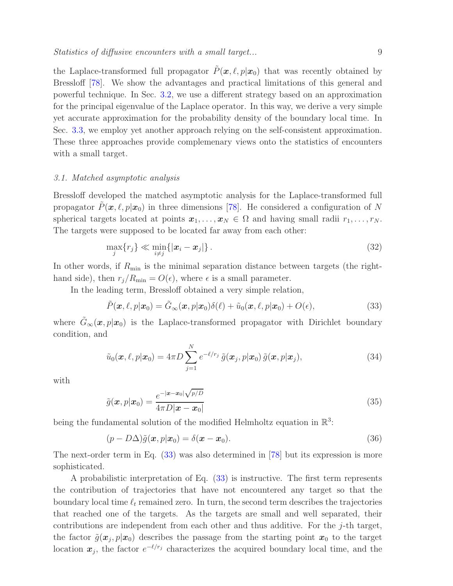the Laplace-transformed full propagator  $P(\mathbf{x}, \ell, p|\mathbf{x}_0)$  that was recently obtained by Bressloff [\[78\]](#page-31-1). We show the advantages and practical limitations of this general and powerful technique. In Sec. [3.2,](#page-11-0) we use a different strategy based on an approximation for the principal eigenvalue of the Laplace operator. In this way, we derive a very simple yet accurate approximation for the probability density of the boundary local time. In Sec. [3.3,](#page-13-0) we employ yet another approach relying on the self-consistent approximation. These three approaches provide complemenary views onto the statistics of encounters with a small target.

### <span id="page-8-0"></span>3.1. Matched asymptotic analysis

Bressloff developed the matched asymptotic analysis for the Laplace-transformed full propagator  $P(\mathbf{x}, \ell, p|\mathbf{x}_0)$  in three dimensions [\[78\]](#page-31-1). He considered a configuration of N spherical targets located at points  $x_1, \ldots, x_N \in \Omega$  and having small radii  $r_1, \ldots, r_N$ . The targets were supposed to be located far away from each other:

<span id="page-8-3"></span>
$$
\max_{j} \{r_j\} \ll \min_{i \neq j} \{|x_i - x_j|\}.
$$
\n(32)

In other words, if  $R_{\text{min}}$  is the minimal separation distance between targets (the righthand side), then  $r_j/R_{\text{min}} = O(\epsilon)$ , where  $\epsilon$  is a small parameter.

In the leading term, Bressloff obtained a very simple relation,

<span id="page-8-1"></span>
$$
\tilde{P}(\boldsymbol{x},\ell,p|\boldsymbol{x}_0)=\tilde{G}_{\infty}(\boldsymbol{x},p|\boldsymbol{x}_0)\delta(\ell)+\tilde{u}_0(\boldsymbol{x},\ell,p|\boldsymbol{x}_0)+O(\epsilon),
$$
\n(33)

where  $\tilde{G}_{\infty}(x,p|x_0)$  is the Laplace-transformed propagator with Dirichlet boundary condition, and

<span id="page-8-2"></span>
$$
\tilde{u}_0(\boldsymbol{x},\ell,p|\boldsymbol{x}_0) = 4\pi D \sum_{j=1}^N e^{-\ell/r_j} \tilde{g}(\boldsymbol{x}_j,p|\boldsymbol{x}_0) \tilde{g}(\boldsymbol{x},p|\boldsymbol{x}_j),
$$
\n(34)

with

$$
\tilde{g}(\boldsymbol{x}, p|\boldsymbol{x}_0) = \frac{e^{-|\boldsymbol{x} - \boldsymbol{x}_0| \sqrt{p/D}}}{4\pi D |\boldsymbol{x} - \boldsymbol{x}_0|}
$$
\n(35)

being the fundamental solution of the modified Helmholtz equation in  $\mathbb{R}^3$ :

$$
(p - D\Delta)\tilde{g}(\boldsymbol{x}, p|\boldsymbol{x}_0) = \delta(\boldsymbol{x} - \boldsymbol{x}_0). \tag{36}
$$

The next-order term in Eq. [\(33\)](#page-8-1) was also determined in [\[78\]](#page-31-1) but its expression is more sophisticated.

A probabilistic interpretation of Eq. [\(33\)](#page-8-1) is instructive. The first term represents the contribution of trajectories that have not encountered any target so that the boundary local time  $\ell_t$  remained zero. In turn, the second term describes the trajectories that reached one of the targets. As the targets are small and well separated, their contributions are independent from each other and thus additive. For the j-th target, the factor  $\tilde{g}(\boldsymbol{x}_j, p|\boldsymbol{x}_0)$  describes the passage from the starting point  $\boldsymbol{x}_0$  to the target location  $x_j$ , the factor  $e^{-\ell/r_j}$  characterizes the acquired boundary local time, and the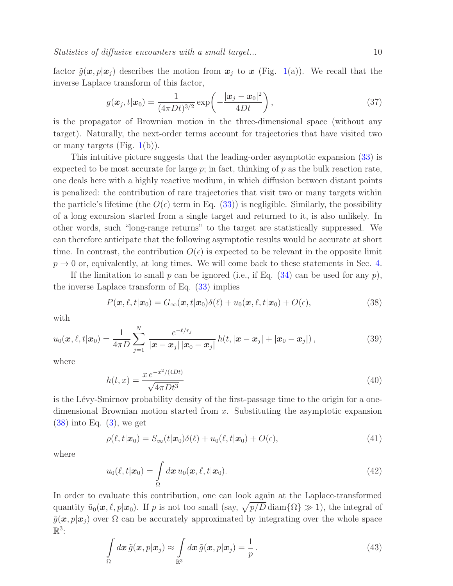Statistics of diffusive encounters with a small target... 10

factor  $\tilde{g}(x, p|x_i)$  describes the motion from  $x_j$  to x (Fig. [1\(](#page-2-0)a)). We recall that the inverse Laplace transform of this factor,

$$
g(\boldsymbol{x}_j, t | \boldsymbol{x}_0) = \frac{1}{(4\pi Dt)^{3/2}} \exp\left(-\frac{|\boldsymbol{x}_j - \boldsymbol{x}_0|^2}{4Dt}\right),\tag{37}
$$

is the propagator of Brownian motion in the three-dimensional space (without any target). Naturally, the next-order terms account for trajectories that have visited two or many targets (Fig.  $1(b)$  $1(b)$ ).

This intuitive picture suggests that the leading-order asymptotic expansion [\(33\)](#page-8-1) is expected to be most accurate for large  $p$ ; in fact, thinking of  $p$  as the bulk reaction rate, one deals here with a highly reactive medium, in which diffusion between distant points is penalized: the contribution of rare trajectories that visit two or many targets within the particle's lifetime (the  $O(\epsilon)$  term in Eq. [\(33\)](#page-8-1)) is negligible. Similarly, the possibility of a long excursion started from a single target and returned to it, is also unlikely. In other words, such "long-range returns" to the target are statistically suppressed. We can therefore anticipate that the following asymptotic results would be accurate at short time. In contrast, the contribution  $O(\epsilon)$  is expected to be relevant in the opposite limit  $p \rightarrow 0$  or, equivalently, at long times. We will come back to these statements in Sec. [4.](#page-15-0)

If the limitation to small p can be ignored (i.e., if Eq.  $(34)$  can be used for any p), the inverse Laplace transform of Eq. [\(33\)](#page-8-1) implies

<span id="page-9-0"></span>
$$
P(\boldsymbol{x}, \ell, t | \boldsymbol{x}_0) = G_{\infty}(\boldsymbol{x}, t | \boldsymbol{x}_0) \delta(\ell) + u_0(\boldsymbol{x}, \ell, t | \boldsymbol{x}_0) + O(\epsilon), \qquad (38)
$$

with

$$
u_0(\boldsymbol{x}, \ell, t | \boldsymbol{x}_0) = \frac{1}{4\pi D} \sum_{j=1}^N \frac{e^{-\ell/r_j}}{|\boldsymbol{x} - \boldsymbol{x}_j| |\boldsymbol{x}_0 - \boldsymbol{x}_j|} h(t, |\boldsymbol{x} - \boldsymbol{x}_j| + |\boldsymbol{x}_0 - \boldsymbol{x}_j|), \qquad (39)
$$

where

$$
h(t,x) = \frac{x e^{-x^2/(4Dt)}}{\sqrt{4\pi Dt^3}}
$$
\n(40)

is the Lévy-Smirnov probability density of the first-passage time to the origin for a onedimensional Brownian motion started from x. Substituting the asymptotic expansion  $(38)$  into Eq.  $(3)$ , we get

<span id="page-9-1"></span>
$$
\rho(\ell, t|\mathbf{x}_0) = S_{\infty}(t|\mathbf{x}_0)\delta(\ell) + u_0(\ell, t|\mathbf{x}_0) + O(\epsilon), \tag{41}
$$

where

$$
u_0(\ell, t|\boldsymbol{x}_0) = \int\limits_{\Omega} d\boldsymbol{x} \, u_0(\boldsymbol{x}, \ell, t|\boldsymbol{x}_0). \tag{42}
$$

In order to evaluate this contribution, one can look again at the Laplace-transformed quantity  $\tilde{u}_0(\mathbf{x}, \ell, p|\mathbf{x}_0)$ . If p is not too small (say,  $\sqrt{p/D}$  diam $\{\Omega\} \gg 1$ ), the integral of  $\tilde{g}(\boldsymbol{x}, p|\boldsymbol{x}_j)$  over  $\Omega$  can be accurately approximated by integrating over the whole space  $\mathbb{R}^3$ :

$$
\int_{\Omega} d\boldsymbol{x} \, \tilde{g}(\boldsymbol{x}, p | \boldsymbol{x}_j) \approx \int_{\mathbb{R}^3} d\boldsymbol{x} \, \tilde{g}(\boldsymbol{x}, p | \boldsymbol{x}_j) = \frac{1}{p} \,.
$$
\n(43)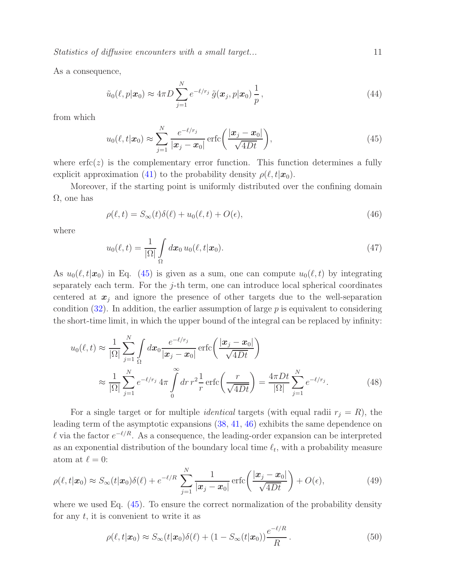Statistics of diffusive encounters with a small target...  $11$ 

As a consequence,

$$
\tilde{u}_0(\ell, p|\boldsymbol{x}_0) \approx 4\pi D \sum_{j=1}^N e^{-\ell/r_j} \tilde{g}(\boldsymbol{x}_j, p|\boldsymbol{x}_0) \frac{1}{p},
$$
\n(44)

from which

<span id="page-10-0"></span>
$$
u_0(\ell, t | \boldsymbol{x}_0) \approx \sum_{j=1}^N \frac{e^{-\ell/r_j}}{|\boldsymbol{x}_j - \boldsymbol{x}_0|} \operatorname{erfc}\left(\frac{|\boldsymbol{x}_j - \boldsymbol{x}_0|}{\sqrt{4Dt}}\right),\tag{45}
$$

where  $erfc(z)$  is the complementary error function. This function determines a fully explicit approximation [\(41\)](#page-9-1) to the probability density  $\rho(\ell, t|\mathbf{x}_0)$ .

Moreover, if the starting point is uniformly distributed over the confining domain  $\Omega$ , one has

<span id="page-10-1"></span>
$$
\rho(\ell, t) = S_{\infty}(t)\delta(\ell) + u_0(\ell, t) + O(\epsilon),\tag{46}
$$

where

<span id="page-10-3"></span>
$$
u_0(\ell, t) = \frac{1}{|\Omega|} \int_{\Omega} d\boldsymbol{x}_0 u_0(\ell, t | \boldsymbol{x}_0).
$$
 (47)

As  $u_0(\ell, t|\mathbf{x}_0)$  in Eq. [\(45\)](#page-10-0) is given as a sum, one can compute  $u_0(\ell, t)$  by integrating separately each term. For the j-th term, one can introduce local spherical coordinates centered at  $x_j$  and ignore the presence of other targets due to the well-separation condition  $(32)$ . In addition, the earlier assumption of large p is equivalent to considering the short-time limit, in which the upper bound of the integral can be replaced by infinity:

$$
u_0(\ell, t) \approx \frac{1}{|\Omega|} \sum_{j=1}^N \int_{\Omega} dx_0 \frac{e^{-\ell/r_j}}{|\mathbf{x}_j - \mathbf{x}_0|} \operatorname{erfc}\left(\frac{|\mathbf{x}_j - \mathbf{x}_0|}{\sqrt{4Dt}}\right)
$$
  

$$
\approx \frac{1}{|\Omega|} \sum_{j=1}^N e^{-\ell/r_j} 4\pi \int_0^\infty dr \, r^2 \frac{1}{r} \operatorname{erfc}\left(\frac{r}{\sqrt{4Dt}}\right) = \frac{4\pi Dt}{|\Omega|} \sum_{j=1}^N e^{-\ell/r_j}.
$$
 (48)

For a single target or for multiple *identical* targets (with equal radii  $r_j = R$ ), the leading term of the asymptotic expansions [\(38,](#page-9-0) [41,](#page-9-1) [46\)](#page-10-1) exhibits the same dependence on l via the factor  $e^{-\ell/R}$ . As a consequence, the leading-order expansion can be interpreted as an exponential distribution of the boundary local time  $\ell_t$ , with a probability measure atom at  $\ell = 0$ :

$$
\rho(\ell, t | \mathbf{x}_0) \approx S_{\infty}(t | \mathbf{x}_0) \delta(\ell) + e^{-\ell/R} \sum_{j=1}^N \frac{1}{|\mathbf{x}_j - \mathbf{x}_0|} \operatorname{erfc}\left(\frac{|\mathbf{x}_j - \mathbf{x}_0|}{\sqrt{4Dt}}\right) + O(\epsilon),\tag{49}
$$

where we used Eq.  $(45)$ . To ensure the correct normalization of the probability density for any  $t$ , it is convenient to write it as

<span id="page-10-2"></span>
$$
\rho(\ell, t|\mathbf{x}_0) \approx S_{\infty}(t|\mathbf{x}_0)\delta(\ell) + (1 - S_{\infty}(t|\mathbf{x}_0))\frac{e^{-\ell/R}}{R}.
$$
\n(50)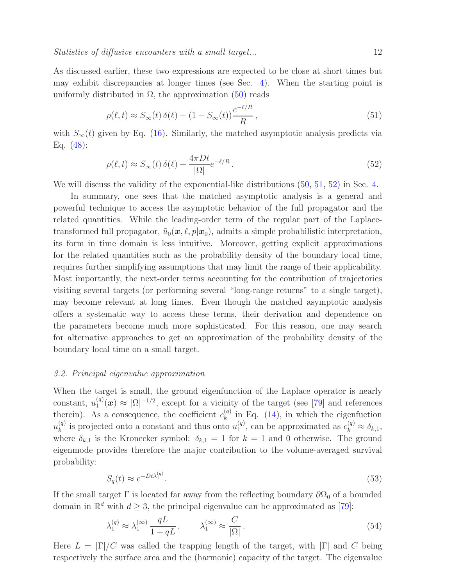As discussed earlier, these two expressions are expected to be close at short times but may exhibit discrepancies at longer times (see Sec. [4\)](#page-15-0). When the starting point is uniformly distributed in  $\Omega$ , the approximation [\(50\)](#page-10-2) reads

<span id="page-11-1"></span>
$$
\rho(\ell, t) \approx S_{\infty}(t) \,\delta(\ell) + (1 - S_{\infty}(t)) \frac{e^{-\ell/R}}{R},\tag{51}
$$

with  $S_{\infty}(t)$  given by Eq. [\(16\)](#page-5-2). Similarly, the matched asymptotic analysis predicts via Eq. [\(48\)](#page-10-3):

<span id="page-11-2"></span>
$$
\rho(\ell, t) \approx S_{\infty}(t) \,\delta(\ell) + \frac{4\pi Dt}{|\Omega|} e^{-\ell/R} \,. \tag{52}
$$

We will discuss the validity of the exponential-like distributions [\(50,](#page-10-2) [51,](#page-11-1) [52\)](#page-11-2) in Sec. [4.](#page-15-0)

In summary, one sees that the matched asymptotic analysis is a general and powerful technique to access the asymptotic behavior of the full propagator and the related quantities. While the leading-order term of the regular part of the Laplacetransformed full propagator,  $\tilde{u}_0(x, \ell, p|x_0)$ , admits a simple probabilistic interpretation, its form in time domain is less intuitive. Moreover, getting explicit approximations for the related quantities such as the probability density of the boundary local time, requires further simplifying assumptions that may limit the range of their applicability. Most importantly, the next-order terms accounting for the contribution of trajectories visiting several targets (or performing several "long-range returns" to a single target), may become relevant at long times. Even though the matched asymptotic analysis offers a systematic way to access these terms, their derivation and dependence on the parameters become much more sophisticated. For this reason, one may search for alternative approaches to get an approximation of the probability density of the boundary local time on a small target.

#### <span id="page-11-0"></span>3.2. Principal eigenvalue approximation

When the target is small, the ground eigenfunction of the Laplace operator is nearly constant,  $u_1^{(q)}$  $\Omega_1^{(q)}(x) \approx |\Omega|^{-1/2}$ , except for a vicinity of the target (see [\[79\]](#page-31-2) and references therein). As a consequence, the coefficient  $c_k^{(q)}$  $\kappa_k^{(q)}$  in Eq. [\(14\)](#page-5-3), in which the eigenfuction  $u_k^{(q)}$  $\binom{q}{k}$  is projected onto a constant and thus onto  $u_1^{(q)}$  $\mathcal{L}_1^{(q)}$ , can be approximated as  $c_k^{(q)} \approx \delta_{k,1}$ , where  $\delta_{k,1}$  is the Kronecker symbol:  $\delta_{k,1} = 1$  for  $k = 1$  and 0 otherwise. The ground eigenmode provides therefore the major contribution to the volume-averaged survival probability:

<span id="page-11-4"></span>
$$
S_q(t) \approx e^{-Dt\lambda_1^{(q)}}.\tag{53}
$$

If the small target  $\Gamma$  is located far away from the reflecting boundary  $\partial\Omega_0$  of a bounded domain in  $\mathbb{R}^d$  with  $d \geq 3$ , the principal eigenvalue can be approximated as [\[79\]](#page-31-2):

<span id="page-11-3"></span>
$$
\lambda_1^{(q)} \approx \lambda_1^{(\infty)} \frac{qL}{1 + qL}, \qquad \lambda_1^{(\infty)} \approx \frac{C}{|\Omega|}.
$$
\n(54)

Here  $L = |\Gamma|/C$  was called the trapping length of the target, with  $|\Gamma|$  and C being respectively the surface area and the (harmonic) capacity of the target. The eigenvalue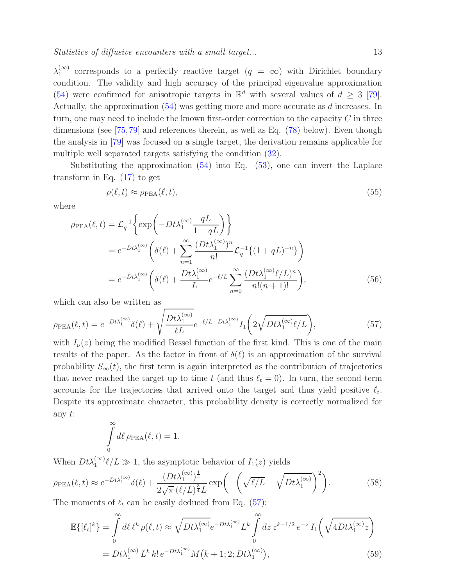$\lambda_1^{(\infty)}$  $\binom{\infty}{1}$  corresponds to a perfectly reactive target  $(q = \infty)$  with Dirichlet boundary condition. The validity and high accuracy of the principal eigenvalue approximation [\(54\)](#page-11-3) were confirmed for anisotropic targets in  $\mathbb{R}^d$  with several values of  $d \geq 3$  [\[79\]](#page-31-2). Actually, the approximation [\(54\)](#page-11-3) was getting more and more accurate as d increases. In turn, one may need to include the known first-order correction to the capacity  $C$  in three dimensions (see [\[75,](#page-30-5)[79\]](#page-31-2) and references therein, as well as Eq. [\(78\)](#page-16-0) below). Even though the analysis in [\[79\]](#page-31-2) was focused on a single target, the derivation remains applicable for multiple well separated targets satisfying the condition [\(32\)](#page-8-3).

Substituting the approximation [\(54\)](#page-11-3) into Eq. [\(53\)](#page-11-4), one can invert the Laplace transform in Eq. [\(17\)](#page-5-4) to get

<span id="page-12-2"></span>
$$
\rho(\ell, t) \approx \rho_{\text{PEA}}(\ell, t),\tag{55}
$$

where

$$
\rho_{\text{PEA}}(\ell, t) = \mathcal{L}_q^{-1} \left\{ \exp\left( -Dt\lambda_1^{(\infty)} \frac{qL}{1 + qL} \right) \right\}
$$
  
=  $e^{-Dt\lambda_1^{(\infty)}} \left( \delta(\ell) + \sum_{n=1}^{\infty} \frac{(Dt\lambda_1^{(\infty)})^n}{n!} \mathcal{L}_q^{-1} \{ (1 + qL)^{-n} \} \right)$   
=  $e^{-Dt\lambda_1^{(\infty)}} \left( \delta(\ell) + \frac{Dt\lambda_1^{(\infty)}}{L} e^{-\ell/L} \sum_{n=0}^{\infty} \frac{(Dt\lambda_1^{(\infty)}\ell/L)^n}{n!(n+1)!} \right),$  (56)

<span id="page-12-0"></span>which can also be written as

$$
\rho_{\rm PEA}(\ell, t) = e^{-Dt\lambda_1^{(\infty)}} \delta(\ell) + \sqrt{\frac{Dt\lambda_1^{(\infty)}}{\ell L}} e^{-\ell/L - Dt\lambda_1^{(\infty)}} I_1\left(2\sqrt{Dt\lambda_1^{(\infty)}\ell/L}\right),\tag{57}
$$

with  $I_{\nu}(z)$  being the modified Bessel function of the first kind. This is one of the main results of the paper. As the factor in front of  $\delta(\ell)$  is an approximation of the survival probability  $S_{\infty}(t)$ , the first term is again interpreted as the contribution of trajectories that never reached the target up to time t (and thus  $\ell_t = 0$ ). In turn, the second term accounts for the trajectories that arrived onto the target and thus yield positive  $\ell_t$ . Despite its approximate character, this probability density is correctly normalized for any t:

<span id="page-12-1"></span>
$$
\int_{0}^{\infty} d\ell \,\rho_{\rm PEA}(\ell, t) = 1.
$$

When  $Dt\lambda_1^{(\infty)}\ell/L \gg 1$ , the asymptotic behavior of  $I_1(z)$  yields

$$
\rho_{\rm PEA}(\ell, t) \approx e^{-Dt\lambda_1^{(\infty)}} \delta(\ell) + \frac{(Dt\lambda_1^{(\infty)})^{\frac{1}{4}}}{2\sqrt{\pi} (\ell/L)^{\frac{3}{4}}L} \exp\left(-\left(\sqrt{\ell/L} - \sqrt{Dt\lambda_1^{(\infty)}}\right)^2\right).
$$
\n(58)

The moments of  $\ell_t$  can be easily deduced from Eq. [\(57\)](#page-12-0):

$$
\mathbb{E}\{[\ell_t]^k\} = \int_0^\infty d\ell \,\ell^k \,\rho(\ell,t) \approx \sqrt{Dt\lambda_1^{(\infty)}} e^{-Dt\lambda_1^{(\infty)}} L^k \int_0^\infty dz \, z^{k-1/2} \, e^{-z} \, I_1\left(\sqrt{4Dt\lambda_1^{(\infty)}} z\right)
$$

$$
= Dt\lambda_1^{(\infty)} L^k \, k! \, e^{-Dt\lambda_1^{(\infty)}} M\left(k+1;2;Dt\lambda_1^{(\infty)}\right),\tag{59}
$$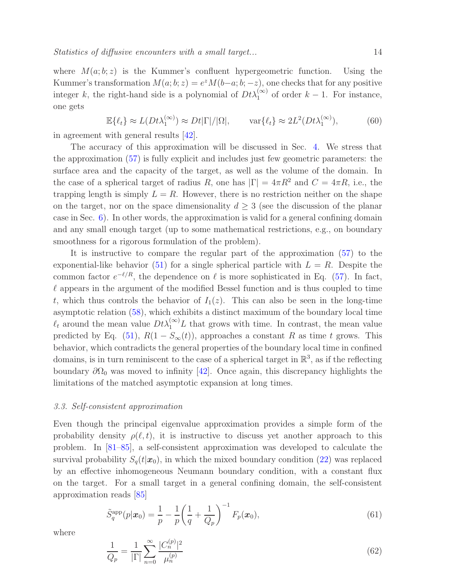where  $M(a; b; z)$  is the Kummer's confluent hypergeometric function. Using the Kummer's transformation  $M(a; b; z) = e^{z} M(b-a; b; -z)$ , one checks that for any positive integer k, the right-hand side is a polynomial of  $Dt\lambda_1^{(\infty)}$  of order  $k-1$ . For instance, one gets

$$
\mathbb{E}\{\ell_t\} \approx L(Dt\lambda_1^{(\infty)}) \approx Dt|\Gamma|/|\Omega|, \qquad \text{var}\{\ell_t\} \approx 2L^2(Dt\lambda_1^{(\infty)}), \tag{60}
$$

in agreement with general results [\[42\]](#page-29-3).

The accuracy of this approximation will be discussed in Sec. [4.](#page-15-0) We stress that the approximation [\(57\)](#page-12-0) is fully explicit and includes just few geometric parameters: the surface area and the capacity of the target, as well as the volume of the domain. In the case of a spherical target of radius R, one has  $|\Gamma| = 4\pi R^2$  and  $C = 4\pi R$ , i.e., the trapping length is simply  $L = R$ . However, there is no restriction neither on the shape on the target, nor on the space dimensionality  $d \geq 3$  (see the discussion of the planar case in Sec. [6\)](#page-21-0). In other words, the approximation is valid for a general confining domain and any small enough target (up to some mathematical restrictions, e.g., on boundary smoothness for a rigorous formulation of the problem).

It is instructive to compare the regular part of the approximation [\(57\)](#page-12-0) to the exponential-like behavior [\(51\)](#page-11-1) for a single spherical particle with  $L = R$ . Despite the common factor  $e^{-\ell/R}$ , the dependence on  $\ell$  is more sophisticated in Eq. [\(57\)](#page-12-0). In fact,  $\ell$  appears in the argument of the modified Bessel function and is thus coupled to time t, which thus controls the behavior of  $I_1(z)$ . This can also be seen in the long-time asymptotic relation [\(58\)](#page-12-1), which exhibits a distinct maximum of the boundary local time  $\ell_t$  around the mean value  $Dt\lambda_1^{(\infty)}L$  that grows with time. In contrast, the mean value predicted by Eq. [\(51\)](#page-11-1),  $R(1 - S_{\infty}(t))$ , approaches a constant R as time t grows. This behavior, which contradicts the general properties of the boundary local time in confined domains, is in turn reminiscent to the case of a spherical target in  $\mathbb{R}^3$ , as if the reflecting boundary  $\partial\Omega_0$  was moved to infinity [\[42\]](#page-29-3). Once again, this discrepancy highlights the limitations of the matched asymptotic expansion at long times.

#### <span id="page-13-0"></span>3.3. Self-consistent approximation

Even though the principal eigenvalue approximation provides a simple form of the probability density  $\rho(\ell, t)$ , it is instructive to discuss yet another approach to this problem. In [\[81](#page-31-4)[–85\]](#page-31-5), a self-consistent approximation was developed to calculate the survival probability  $S_q(t|\mathbf{x}_0)$ , in which the mixed boundary condition [\(22\)](#page-6-1) was replaced by an effective inhomogeneous Neumann boundary condition, with a constant flux on the target. For a small target in a general confining domain, the self-consistent approximation reads [\[85\]](#page-31-5)

$$
\tilde{S}_q^{\rm app}(p|\bm{x}_0) = \frac{1}{p} - \frac{1}{p} \left(\frac{1}{q} + \frac{1}{Q_p}\right)^{-1} F_p(\bm{x}_0),\tag{61}
$$

<span id="page-13-1"></span>where

$$
\frac{1}{Q_p} = \frac{1}{|\Gamma|} \sum_{n=0}^{\infty} \frac{|C_n^{(p)}|^2}{\mu_n^{(p)}}
$$
(62)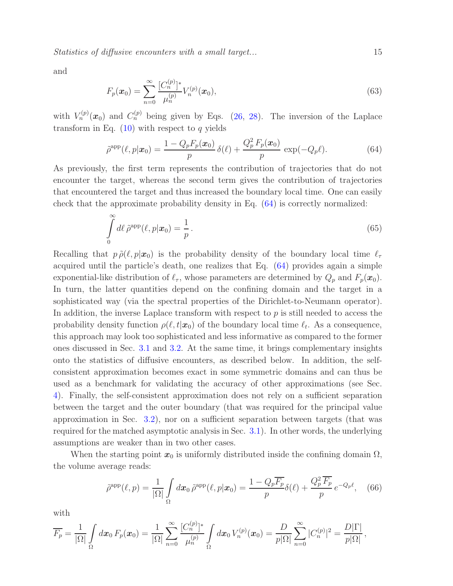Statistics of diffusive encounters with a small target... 15

<span id="page-14-1"></span>and

$$
F_p(\boldsymbol{x}_0) = \sum_{n=0}^{\infty} \frac{[C_n^{(p)}]^*}{\mu_n^{(p)}} V_n^{(p)}(\boldsymbol{x}_0),
$$
\n(63)

with  $V_n^{(p)}(x_0)$  and  $C_n^{(p)}$  being given by Eqs. [\(26,](#page-7-4) [28\)](#page-7-5). The inversion of the Laplace transform in Eq.  $(10)$  with respect to q yields

<span id="page-14-0"></span>
$$
\tilde{\rho}^{\text{app}}(\ell, p|\boldsymbol{x}_0) = \frac{1 - Q_p F_p(\boldsymbol{x}_0)}{p} \, \delta(\ell) + \frac{Q_p^2 F_p(\boldsymbol{x}_0)}{p} \, \exp(-Q_p \ell). \tag{64}
$$

As previously, the first term represents the contribution of trajectories that do not encounter the target, whereas the second term gives the contribution of trajectories that encountered the target and thus increased the boundary local time. One can easily check that the approximate probability density in Eq. [\(64\)](#page-14-0) is correctly normalized:

$$
\int_{0}^{\infty} d\ell \,\tilde{\rho}^{\rm app}(\ell, p|\boldsymbol{x}_0) = \frac{1}{p}.
$$
\n(65)

Recalling that  $p \tilde{\rho}(\ell, p|\mathbf{x}_0)$  is the probability density of the boundary local time  $\ell_{\tau}$ acquired until the particle's death, one realizes that Eq. [\(64\)](#page-14-0) provides again a simple exponential-like distribution of  $\ell_{\tau}$ , whose parameters are determined by  $Q_p$  and  $F_p(x_0)$ . In turn, the latter quantities depend on the confining domain and the target in a sophisticated way (via the spectral properties of the Dirichlet-to-Neumann operator). In addition, the inverse Laplace transform with respect to  $p$  is still needed to access the probability density function  $\rho(\ell, t|\mathbf{x}_0)$  of the boundary local time  $\ell_t$ . As a consequence, this approach may look too sophisticated and less informative as compared to the former ones discussed in Sec. [3.1](#page-8-0) and [3.2.](#page-11-0) At the same time, it brings complementary insights onto the statistics of diffusive encounters, as described below. In addition, the selfconsistent approximation becomes exact in some symmetric domains and can thus be used as a benchmark for validating the accuracy of other approximations (see Sec. [4\)](#page-15-0). Finally, the self-consistent approximation does not rely on a sufficient separation between the target and the outer boundary (that was required for the principal value approximation in Sec. [3.2\)](#page-11-0), nor on a sufficient separation between targets (that was required for the matched asymptotic analysis in Sec. [3.1\)](#page-8-0). In other words, the underlying assumptions are weaker than in two other cases.

When the starting point  $x_0$  is uniformly distributed inside the confining domain  $\Omega$ , the volume average reads:

<span id="page-14-2"></span>
$$
\tilde{\rho}^{\rm app}(\ell, p) = \frac{1}{|\Omega|} \int_{\Omega} d\boldsymbol{x}_0 \, \tilde{\rho}^{\rm app}(\ell, p | \boldsymbol{x}_0) = \frac{1 - Q_p \overline{F_p}}{p} \delta(\ell) + \frac{Q_p^2 \overline{F_p}}{p} e^{-Q_p \ell}, \quad (66)
$$

with

$$
\overline{F_p} = \frac{1}{|\Omega|} \int_{\Omega} dx_0 \, F_p(x_0) = \frac{1}{|\Omega|} \sum_{n=0}^{\infty} \frac{[C_n^{(p)}]^*}{\mu_n^{(p)}} \int_{\Omega} dx_0 \, V_n^{(p)}(x_0) = \frac{D}{p|\Omega|} \sum_{n=0}^{\infty} |C_n^{(p)}|^2 = \frac{D|\Gamma|}{p|\Omega|},
$$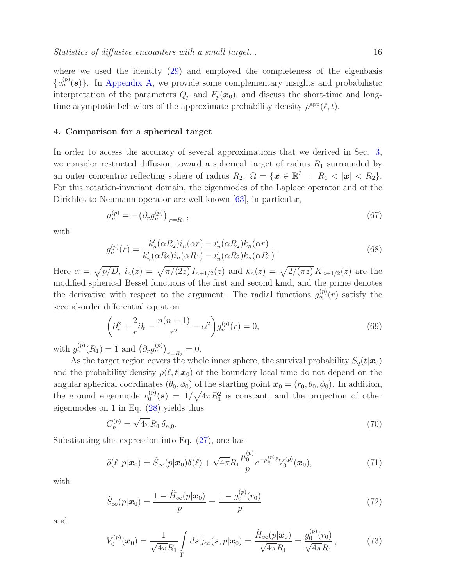where we used the identity [\(29\)](#page-7-3) and employed the completeness of the eigenbasis  ${v_n^{(p)}(s)}$ . In [Appendix A,](#page-23-0) we provide some complementary insights and probabilistic interpretation of the parameters  $Q_p$  and  $F_p(x_0)$ , and discuss the short-time and longtime asymptotic behaviors of the approximate probability density  $\rho^{\text{app}}(\ell, t)$ .

#### <span id="page-15-0"></span>4. Comparison for a spherical target

In order to access the accuracy of several approximations that we derived in Sec. [3,](#page-7-0) we consider restricted diffusion toward a spherical target of radius  $R_1$  surrounded by an outer concentric reflecting sphere of radius  $R_2$ :  $\Omega = \{ \boldsymbol{x} \in \mathbb{R}^3 : R_1 < |\boldsymbol{x}| < R_2 \}.$ For this rotation-invariant domain, the eigenmodes of the Laplace operator and of the Dirichlet-to-Neumann operator are well known [\[63\]](#page-30-1), in particular,

<span id="page-15-3"></span>
$$
\mu_n^{(p)} = -\left(\partial_r g_n^{(p)}\right)_{|r=R_1},\tag{67}
$$

with

$$
g_n^{(p)}(r) = \frac{k'_n(\alpha R_2)i_n(\alpha r) - i'_n(\alpha R_2)k_n(\alpha r)}{k'_n(\alpha R_2)i_n(\alpha R_1) - i'_n(\alpha R_2)k_n(\alpha R_1)}.
$$
\n(68)

Here  $\alpha = \sqrt{p/D}$ ,  $i_n(z) = \sqrt{\pi/(2z)} I_{n+1/2}(z)$  and  $k_n(z) = \sqrt{2/(\pi z)} K_{n+1/2}(z)$  are the modified spherical Bessel functions of the first and second kind, and the prime denotes the derivative with respect to the argument. The radial functions  $g_n^{(p)}(r)$  satisfy the second-order differential equation

<span id="page-15-1"></span>
$$
\left(\partial_r^2 + \frac{2}{r}\partial_r - \frac{n(n+1)}{r^2} - \alpha^2\right)g_n^{(p)}(r) = 0,
$$
\n(69)

with  $g_n^{(p)}(R_1) = 1$  and  $(\partial_r g_n^{(p)})_{r=R_2} = 0$ .

As the target region covers the whole inner sphere, the survival probability  $S_q(t|\mathbf{x}_0)$ and the probability density  $\rho(\ell,t|\mathbf{x}_0)$  of the boundary local time do not depend on the angular spherical coordinates  $(\theta_0, \phi_0)$  of the starting point  $\mathbf{x}_0 = (r_0, \theta_0, \phi_0)$ . In addition, the ground eigenmode  $v_0^{(p)}$  $\binom{p}{0}$  (s) =  $1/\sqrt{4\pi R_1^2}$  is constant, and the projection of other eigenmodes on 1 in Eq. [\(28\)](#page-7-5) yields thus

<span id="page-15-2"></span>
$$
C_n^{(p)} = \sqrt{4\pi} R_1 \,\delta_{n,0}.\tag{70}
$$

Substituting this expression into Eq. [\(27\)](#page-7-1), one has

$$
\tilde{\rho}(\ell, p | \mathbf{x}_0) = \tilde{S}_{\infty}(p | \mathbf{x}_0) \delta(\ell) + \sqrt{4\pi} R_1 \frac{\mu_0^{(p)}}{p} e^{-\mu_0^{(p)} \ell} V_0^{(p)}(\mathbf{x}_0), \tag{71}
$$

with

$$
\tilde{S}_{\infty}(p|\boldsymbol{x}_0) = \frac{1 - \tilde{H}_{\infty}(p|\boldsymbol{x}_0)}{p} = \frac{1 - g_0^{(p)}(r_0)}{p}
$$
\n(72)

and

$$
V_0^{(p)}(\boldsymbol{x}_0) = \frac{1}{\sqrt{4\pi}R_1} \int\limits_{\Gamma} d\boldsymbol{s} \, \tilde{j}_{\infty}(\boldsymbol{s}, p|\boldsymbol{x}_0) = \frac{\tilde{H}_{\infty}(p|\boldsymbol{x}_0)}{\sqrt{4\pi}R_1} = \frac{g_0^{(p)}(r_0)}{\sqrt{4\pi}R_1},\tag{73}
$$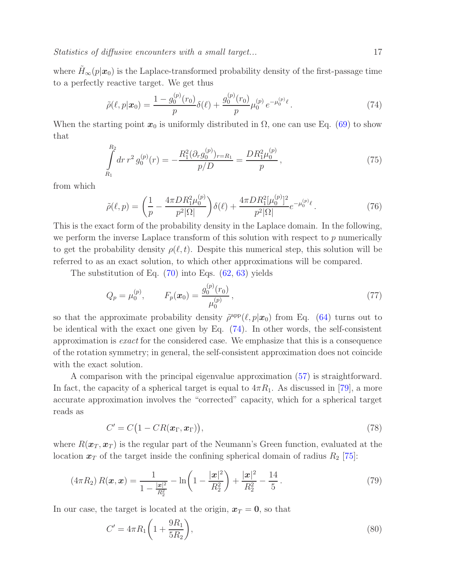where  $H_{\infty}(p|x_0)$  is the Laplace-transformed probability density of the first-passage time to a perfectly reactive target. We get thus

<span id="page-16-1"></span>
$$
\tilde{\rho}(\ell, p | \boldsymbol{x}_0) = \frac{1 - g_0^{(p)}(r_0)}{p} \delta(\ell) + \frac{g_0^{(p)}(r_0)}{p} \mu_0^{(p)} e^{-\mu_0^{(p)} \ell}.
$$
\n(74)

When the starting point  $x_0$  is uniformly distributed in  $\Omega$ , one can use Eq. [\(69\)](#page-15-1) to show that

$$
\int_{R_1}^{R_2} dr \, r^2 \, g_0^{(p)}(r) = -\frac{R_1^2 (\partial_r g_0^{(p)})_{r=R_1}}{p/D} = \frac{DR_1^2 \mu_0^{(p)}}{p},\tag{75}
$$

from which

<span id="page-16-2"></span>
$$
\tilde{\rho}(\ell, p) = \left(\frac{1}{p} - \frac{4\pi D R_1^2 \mu_0^{(p)}}{p^2 |\Omega|}\right) \delta(\ell) + \frac{4\pi D R_1^2 [\mu_0^{(p)}]^2}{p^2 |\Omega|} e^{-\mu_0^{(p)} \ell}.
$$
\n(76)

This is the exact form of the probability density in the Laplace domain. In the following, we perform the inverse Laplace transform of this solution with respect to  $p$  numerically to get the probability density  $\rho(\ell, t)$ . Despite this numerical step, this solution will be referred to as an exact solution, to which other approximations will be compared.

The substitution of Eq.  $(70)$  into Eqs.  $(62, 63)$  $(62, 63)$  yields

$$
Q_p = \mu_0^{(p)}, \qquad F_p(\boldsymbol{x}_0) = \frac{g_0^{(p)}(r_0)}{\mu_0^{(p)}}, \qquad (77)
$$

so that the approximate probability density  $\tilde{\rho}^{\text{app}}(\ell, p|\mathbf{x}_0)$  from Eq. [\(64\)](#page-14-0) turns out to be identical with the exact one given by Eq. [\(74\)](#page-16-1). In other words, the self-consistent approximation is exact for the considered case. We emphasize that this is a consequence of the rotation symmetry; in general, the self-consistent approximation does not coincide with the exact solution.

A comparison with the principal eigenvalue approximation [\(57\)](#page-12-0) is straightforward. In fact, the capacity of a spherical target is equal to  $4\pi R_1$ . As discussed in [\[79\]](#page-31-2), a more accurate approximation involves the "corrected" capacity, which for a spherical target reads as

<span id="page-16-0"></span>
$$
C' = C\big(1 - CR(\boldsymbol{x}_{\Gamma}, \boldsymbol{x}_{\Gamma})\big),\tag{78}
$$

where  $R(\mathbf{x}_T, \mathbf{x}_T)$  is the regular part of the Neumann's Green function, evaluated at the location  $x_T$  of the target inside the confining spherical domain of radius  $R_2$  [\[75\]](#page-30-5):

$$
(4\pi R_2) R(\boldsymbol{x}, \boldsymbol{x}) = \frac{1}{1 - \frac{|\boldsymbol{x}|^2}{R_2^2}} - \ln\left(1 - \frac{|\boldsymbol{x}|^2}{R_2^2}\right) + \frac{|\boldsymbol{x}|^2}{R_2^2} - \frac{14}{5}.
$$
 (79)

In our case, the target is located at the origin,  $x_T = 0$ , so that

$$
C' = 4\pi R_1 \left( 1 + \frac{9R_1}{5R_2} \right),\tag{80}
$$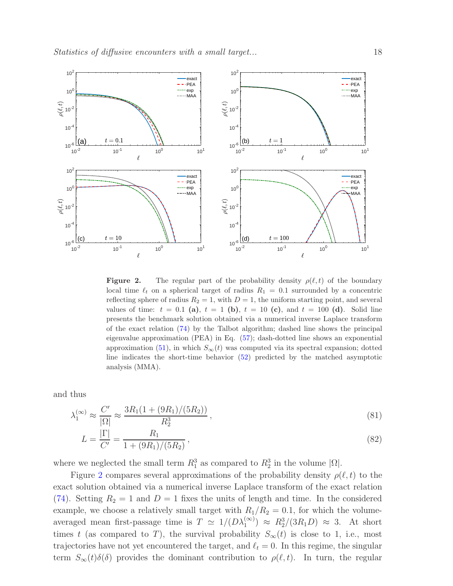

<span id="page-17-0"></span>**Figure 2.** The regular part of the probability density  $\rho(\ell, t)$  of the boundary local time  $\ell_t$  on a spherical target of radius  $R_1 = 0.1$  surrounded by a concentric reflecting sphere of radius  $R_2 = 1$ , with  $D = 1$ , the uniform starting point, and several values of time:  $t = 0.1$  (a),  $t = 1$  (b),  $t = 10$  (c), and  $t = 100$  (d). Solid line presents the benchmark solution obtained via a numerical inverse Laplace transform of the exact relation [\(74\)](#page-16-1) by the Talbot algorithm; dashed line shows the principal eigenvalue approximation (PEA) in Eq. [\(57\)](#page-12-0); dash-dotted line shows an exponential approximation [\(51\)](#page-11-1), in which  $S_{\infty}(t)$  was computed via its spectral expansion; dotted line indicates the short-time behavior [\(52\)](#page-11-2) predicted by the matched asymptotic analysis (MMA).

and thus

$$
\lambda_1^{(\infty)} \approx \frac{C'}{|\Omega|} \approx \frac{3R_1(1 + (9R_1)/(5R_2))}{R_2^3},\tag{81}
$$

$$
L = \frac{|\Gamma|}{C'} = \frac{R_1}{1 + (9R_1)/(5R_2)},\tag{82}
$$

where we neglected the small term  $R_1^3$  as compared to  $R_2^3$  in the volume  $|\Omega|$ .

Figure [2](#page-17-0) compares several approximations of the probability density  $\rho(\ell, t)$  to the exact solution obtained via a numerical inverse Laplace transform of the exact relation [\(74\)](#page-16-1). Setting  $R_2 = 1$  and  $D = 1$  fixes the units of length and time. In the considered example, we choose a relatively small target with  $R_1/R_2 = 0.1$ , for which the volumeaveraged mean first-passage time is  $T \simeq 1/(D\lambda_1^{(\infty)}) \approx R_2^3/(3R_1D) \approx 3$ . At short times t (as compared to T), the survival probability  $S_{\infty}(t)$  is close to 1, i.e., most trajectories have not yet encountered the target, and  $\ell_t = 0$ . In this regime, the singular term  $S_{\infty}(t)\delta(\delta)$  provides the dominant contribution to  $\rho(\ell,t)$ . In turn, the regular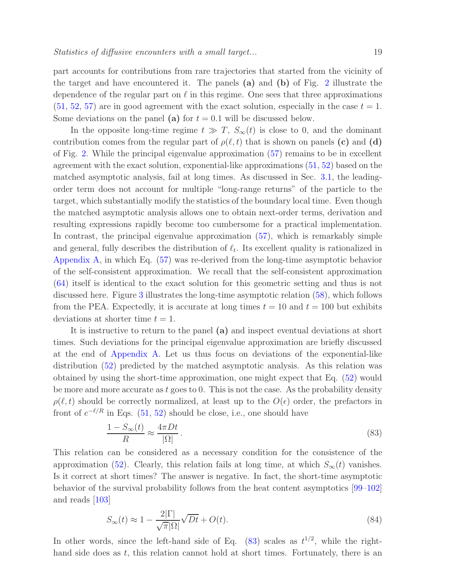part accounts for contributions from rare trajectories that started from the vicinity of the target and have encountered it. The panels (a) and (b) of Fig. [2](#page-17-0) illustrate the dependence of the regular part on  $\ell$  in this regime. One sees that three approximations  $(51, 52, 57)$  $(51, 52, 57)$  $(51, 52, 57)$  $(51, 52, 57)$  $(51, 52, 57)$  are in good agreement with the exact solution, especially in the case  $t = 1$ . Some deviations on the panel (a) for  $t = 0.1$  will be discussed below.

In the opposite long-time regime  $t \gg T$ ,  $S_{\infty}(t)$  is close to 0, and the dominant contribution comes from the regular part of  $\rho(\ell, t)$  that is shown on panels (c) and (d) of Fig. [2.](#page-17-0) While the principal eigenvalue approximation [\(57\)](#page-12-0) remains to be in excellent agreement with the exact solution, exponential-like approximations [\(51,](#page-11-1) [52\)](#page-11-2) based on the matched asymptotic analysis, fail at long times. As discussed in Sec. [3.1,](#page-8-0) the leadingorder term does not account for multiple "long-range returns" of the particle to the target, which substantially modify the statistics of the boundary local time. Even though the matched asymptotic analysis allows one to obtain next-order terms, derivation and resulting expressions rapidly become too cumbersome for a practical implementation. In contrast, the principal eigenvalue approximation [\(57\)](#page-12-0), which is remarkably simple and general, fully describes the distribution of  $\ell_t$ . Its excellent quality is rationalized in [Appendix A,](#page-23-0) in which Eq. [\(57\)](#page-12-0) was re-derived from the long-time asymptotic behavior of the self-consistent approximation. We recall that the self-consistent approximation [\(64\)](#page-14-0) itself is identical to the exact solution for this geometric setting and thus is not discussed here. Figure [3](#page-20-0) illustrates the long-time asymptotic relation [\(58\)](#page-12-1), which follows from the PEA. Expectedly, it is accurate at long times  $t = 10$  and  $t = 100$  but exhibits deviations at shorter time  $t = 1$ .

It is instructive to return to the panel (a) and inspect eventual deviations at short times. Such deviations for the principal eigenvalue approximation are briefly discussed at the end of [Appendix A.](#page-23-0) Let us thus focus on deviations of the exponential-like distribution [\(52\)](#page-11-2) predicted by the matched asymptotic analysis. As this relation was obtained by using the short-time approximation, one might expect that Eq. [\(52\)](#page-11-2) would be more and more accurate as t goes to 0. This is not the case. As the probability density  $\rho(\ell, t)$  should be correctly normalized, at least up to the  $O(\epsilon)$  order, the prefactors in front of  $e^{-\ell/R}$  in Eqs. [\(51,](#page-11-1) [52\)](#page-11-2) should be close, i.e., one should have

<span id="page-18-0"></span>
$$
\frac{1 - S_{\infty}(t)}{R} \approx \frac{4\pi Dt}{|\Omega|}.
$$
\n(83)

This relation can be considered as a necessary condition for the consistence of the approximation [\(52\)](#page-11-2). Clearly, this relation fails at long time, at which  $S_{\infty}(t)$  vanishes. Is it correct at short times? The answer is negative. In fact, the short-time asymptotic behavior of the survival probability follows from the heat content asymptotics [\[99](#page-31-13)[–102\]](#page-31-14) and reads [\[103\]](#page-31-15)

$$
S_{\infty}(t) \approx 1 - \frac{2|\Gamma|}{\sqrt{\pi}|\Omega|} \sqrt{Dt} + O(t). \tag{84}
$$

In other words, since the left-hand side of Eq.  $(83)$  scales as  $t^{1/2}$ , while the righthand side does as  $t$ , this relation cannot hold at short times. Fortunately, there is an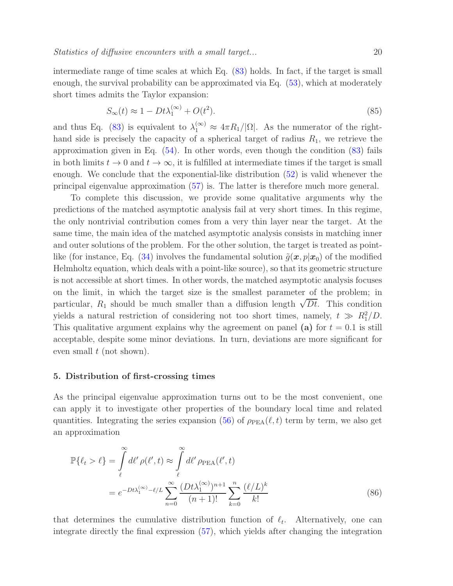intermediate range of time scales at which Eq. [\(83\)](#page-18-0) holds. In fact, if the target is small enough, the survival probability can be approximated via Eq.  $(53)$ , which at moderately short times admits the Taylor expansion:

$$
S_{\infty}(t) \approx 1 - Dt\lambda_1^{(\infty)} + O(t^2). \tag{85}
$$

and thus Eq. [\(83\)](#page-18-0) is equivalent to  $\lambda_1^{(\infty)} \approx 4\pi R_1/|\Omega|$ . As the numerator of the righthand side is precisely the capacity of a spherical target of radius  $R_1$ , we retrieve the approximation given in Eq. [\(54\)](#page-11-3). In other words, even though the condition [\(83\)](#page-18-0) fails in both limits  $t \to 0$  and  $t \to \infty$ , it is fulfilled at intermediate times if the target is small enough. We conclude that the exponential-like distribution [\(52\)](#page-11-2) is valid whenever the principal eigenvalue approximation [\(57\)](#page-12-0) is. The latter is therefore much more general.

To complete this discussion, we provide some qualitative arguments why the predictions of the matched asymptotic analysis fail at very short times. In this regime, the only nontrivial contribution comes from a very thin layer near the target. At the same time, the main idea of the matched asymptotic analysis consists in matching inner and outer solutions of the problem. For the other solution, the target is treated as point-like (for instance, Eq. [\(34\)](#page-8-2) involves the fundamental solution  $\tilde{g}(x, p|x_0)$  of the modified Helmholtz equation, which deals with a point-like source), so that its geometric structure is not accessible at short times. In other words, the matched asymptotic analysis focuses on the limit, in which the target size is the smallest parameter of the problem; in particular,  $R_1$  should be much smaller than a diffusion length  $\sqrt{Dt}$ . This condition yields a natural restriction of considering not too short times, namely,  $t \gg R_1^2/D$ . This qualitative argument explains why the agreement on panel (a) for  $t = 0.1$  is still acceptable, despite some minor deviations. In turn, deviations are more significant for even small  $t$  (not shown).

### <span id="page-19-0"></span>5. Distribution of first-crossing times

As the principal eigenvalue approximation turns out to be the most convenient, one can apply it to investigate other properties of the boundary local time and related quantities. Integrating the series expansion [\(56\)](#page-12-2) of  $\rho_{PEA}(\ell, t)$  term by term, we also get an approximation

<span id="page-19-1"></span>
$$
\mathbb{P}\{\ell_t > \ell\} = \int\limits_{\ell}^{\infty} d\ell' \rho(\ell', t) \approx \int\limits_{\ell}^{\infty} d\ell' \rho_{\text{PEA}}(\ell', t)
$$

$$
= e^{-Dt\lambda_1^{(\infty)} - \ell/L} \sum_{n=0}^{\infty} \frac{(Dt\lambda_1^{(\infty)})^{n+1}}{(n+1)!} \sum_{k=0}^{n} \frac{(\ell/L)^k}{k!}
$$
(86)

that determines the cumulative distribution function of  $\ell_t$ . Alternatively, one can integrate directly the final expression [\(57\)](#page-12-0), which yields after changing the integration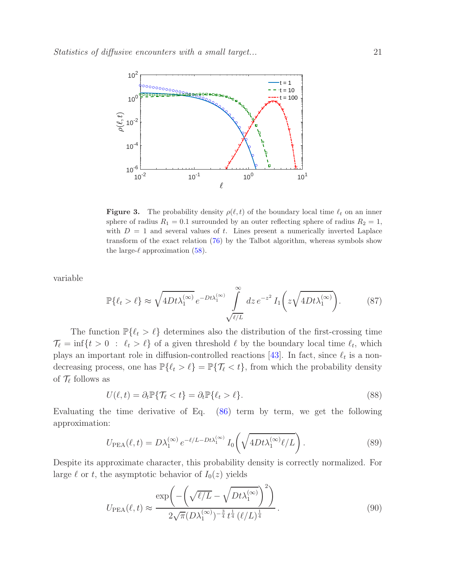

<span id="page-20-0"></span>**Figure 3.** The probability density  $\rho(\ell, t)$  of the boundary local time  $\ell_t$  on an inner sphere of radius  $R_1 = 0.1$  surrounded by an outer reflecting sphere of radius  $R_2 = 1$ , with  $D = 1$  and several values of t. Lines present a numerically inverted Laplace transform of the exact relation [\(76\)](#page-16-2) by the Talbot algorithm, whereas symbols show the large- $\ell$  approximation [\(58\)](#page-12-1).

variable

$$
\mathbb{P}\{\ell_t > \ell\} \approx \sqrt{4Dt\lambda_1^{(\infty)}} \, e^{-Dt\lambda_1^{(\infty)}} \int\limits_{\sqrt{\ell/L}}^{\infty} dz \, e^{-z^2} \, I_1\bigg(z\sqrt{4Dt\lambda_1^{(\infty)}}\bigg). \tag{87}
$$

The function  $\mathbb{P}\{\ell_t > \ell\}$  determines also the distribution of the first-crossing time  $\mathcal{T}_{\ell} = \inf\{t > 0 : \ell_t > \ell\}$  of a given threshold  $\ell$  by the boundary local time  $\ell_t$ , which plays an important role in diffusion-controlled reactions [\[43\]](#page-29-4). In fact, since  $\ell_t$  is a nondecreasing process, one has  $\mathbb{P}\{\ell_t > \ell\} = \mathbb{P}\{\mathcal{T}_{\ell} < t\}$ , from which the probability density of  $\mathcal{T}_{\ell}$  follows as

$$
U(\ell, t) = \partial_t \mathbb{P} \{ \mathcal{T}_{\ell} < t \} = \partial_t \mathbb{P} \{ \ell_t > \ell \}. \tag{88}
$$

Evaluating the time derivative of Eq. [\(86\)](#page-19-1) term by term, we get the following approximation:

<span id="page-20-1"></span>
$$
U_{\rm PEA}(\ell, t) = D\lambda_1^{(\infty)} e^{-\ell/L - Dt\lambda_1^{(\infty)}} I_0\left(\sqrt{4Dt\lambda_1^{(\infty)}\ell/L}\right).
$$
 (89)

Despite its approximate character, this probability density is correctly normalized. For large  $\ell$  or t, the asymptotic behavior of  $I_0(z)$  yields

$$
U_{\text{PEA}}(\ell, t) \approx \frac{\exp\left(-\left(\sqrt{\ell/L} - \sqrt{Dt\lambda_1^{(\infty)}}\right)^2\right)}{2\sqrt{\pi}(D\lambda_1^{(\infty)})^{-\frac{3}{4}}t^{\frac{1}{4}}(\ell/L)^{\frac{1}{4}}}.
$$
\n(90)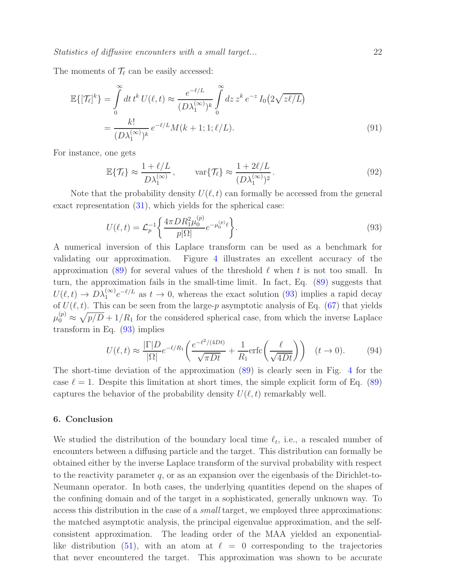Statistics of diffusive encounters with a small target... 22

The moments of  $\mathcal{T}_{\ell}$  can be easily accessed:

$$
\mathbb{E}\{[\mathcal{T}_{\ell}]^{k}\} = \int_{0}^{\infty} dt \, t^{k} \, U(\ell, t) \approx \frac{e^{-\ell/L}}{(D\lambda_{1}^{(\infty)})^{k}} \int_{0}^{\infty} dz \, z^{k} \, e^{-z} \, I_{0}\big(2\sqrt{z\ell/L}\big)
$$
\n
$$
= \frac{k!}{(D\lambda_{1}^{(\infty)})^{k}} \, e^{-\ell/L} M(k+1; 1; \ell/L). \tag{91}
$$

For instance, one gets

$$
\mathbb{E}\{\mathcal{T}_{\ell}\} \approx \frac{1+\ell/L}{D\lambda_1^{(\infty)}}, \qquad \text{var}\{\mathcal{T}_{\ell}\} \approx \frac{1+2\ell/L}{(D\lambda_1^{(\infty)})^2}.
$$
\n(92)

Note that the probability density  $U(\ell,t)$  can formally be accessed from the general exact representation [\(31\)](#page-7-6), which yields for the spherical case:

<span id="page-21-1"></span>
$$
U(\ell, t) = \mathcal{L}_p^{-1} \left\{ \frac{4\pi D R_1^2 \mu_0^{(p)}}{p|\Omega|} e^{-\mu_0^{(p)} \ell} \right\}.
$$
\n(93)

A numerical inversion of this Laplace transform can be used as a benchmark for validating our approximation. Figure [4](#page-22-0) illustrates an excellent accuracy of the approximation [\(89\)](#page-20-1) for several values of the threshold  $\ell$  when t is not too small. In turn, the approximation fails in the small-time limit. In fact, Eq. [\(89\)](#page-20-1) suggests that  $U(\ell, t) \to D\lambda_1^{(\infty)}e^{-\ell/L}$  as  $t \to 0$ , whereas the exact solution [\(93\)](#page-21-1) implies a rapid decay of  $U(\ell, t)$ . This can be seen from the large-p asymptotic analysis of Eq. [\(67\)](#page-15-3) that yields  $\mu_0^{(p)} \approx \sqrt{p/D} + 1/R_1$  for the considered spherical case, from which the inverse Laplace transform in Eq. [\(93\)](#page-21-1) implies

$$
U(\ell, t) \approx \frac{|\Gamma| D}{|\Omega|} e^{-\ell/R_1} \left( \frac{e^{-\ell^2/(4Dt)}}{\sqrt{\pi Dt}} + \frac{1}{R_1} \text{erfc}\left(\frac{\ell}{\sqrt{4Dt}}\right) \right) \quad (t \to 0). \tag{94}
$$

The short-time deviation of the approximation [\(89\)](#page-20-1) is clearly seen in Fig. [4](#page-22-0) for the case  $\ell = 1$ . Despite this limitation at short times, the simple explicit form of Eq. [\(89\)](#page-20-1) captures the behavior of the probability density  $U(\ell, t)$  remarkably well.

# <span id="page-21-0"></span>6. Conclusion

We studied the distribution of the boundary local time  $\ell_t$ , i.e., a rescaled number of encounters between a diffusing particle and the target. This distribution can formally be obtained either by the inverse Laplace transform of the survival probability with respect to the reactivity parameter  $q$ , or as an expansion over the eigenbasis of the Dirichlet-to-Neumann operator. In both cases, the underlying quantities depend on the shapes of the confining domain and of the target in a sophisticated, generally unknown way. To access this distribution in the case of a small target, we employed three approximations: the matched asymptotic analysis, the principal eigenvalue approximation, and the selfconsistent approximation. The leading order of the MAA yielded an exponential-like distribution [\(51\)](#page-11-1), with an atom at  $\ell = 0$  corresponding to the trajectories that never encountered the target. This approximation was shown to be accurate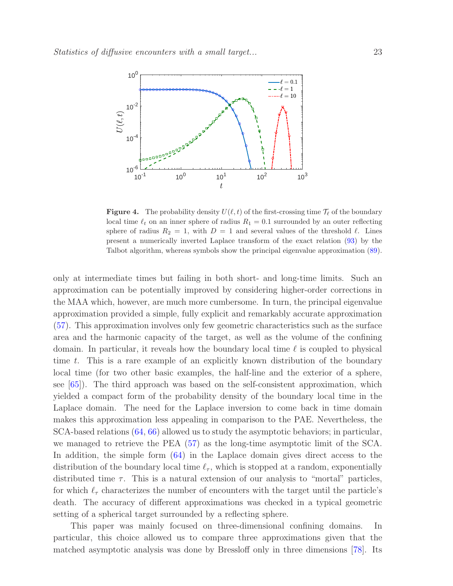

<span id="page-22-0"></span>**Figure 4.** The probability density  $U(\ell,t)$  of the first-crossing time  $\mathcal{T}_{\ell}$  of the boundary local time  $\ell_t$  on an inner sphere of radius  $R_1 = 0.1$  surrounded by an outer reflecting sphere of radius  $R_2 = 1$ , with  $D = 1$  and several values of the threshold  $\ell$ . Lines present a numerically inverted Laplace transform of the exact relation [\(93\)](#page-21-1) by the Talbot algorithm, whereas symbols show the principal eigenvalue approximation [\(89\)](#page-20-1).

only at intermediate times but failing in both short- and long-time limits. Such an approximation can be potentially improved by considering higher-order corrections in the MAA which, however, are much more cumbersome. In turn, the principal eigenvalue approximation provided a simple, fully explicit and remarkably accurate approximation [\(57\)](#page-12-0). This approximation involves only few geometric characteristics such as the surface area and the harmonic capacity of the target, as well as the volume of the confining domain. In particular, it reveals how the boundary local time  $\ell$  is coupled to physical time t. This is a rare example of an explicitly known distribution of the boundary local time (for two other basic examples, the half-line and the exterior of a sphere, see [\[65\]](#page-30-6)). The third approach was based on the self-consistent approximation, which yielded a compact form of the probability density of the boundary local time in the Laplace domain. The need for the Laplace inversion to come back in time domain makes this approximation less appealing in comparison to the PAE. Nevertheless, the SCA-based relations [\(64,](#page-14-0) [66\)](#page-14-2) allowed us to study the asymptotic behaviors; in particular, we managed to retrieve the PEA [\(57\)](#page-12-0) as the long-time asymptotic limit of the SCA. In addition, the simple form  $(64)$  in the Laplace domain gives direct access to the distribution of the boundary local time  $\ell_{\tau}$ , which is stopped at a random, exponentially distributed time  $\tau$ . This is a natural extension of our analysis to "mortal" particles, for which  $\ell_{\tau}$  characterizes the number of encounters with the target until the particle's death. The accuracy of different approximations was checked in a typical geometric setting of a spherical target surrounded by a reflecting sphere.

This paper was mainly focused on three-dimensional confining domains. In particular, this choice allowed us to compare three approximations given that the matched asymptotic analysis was done by Bressloff only in three dimensions [\[78\]](#page-31-1). Its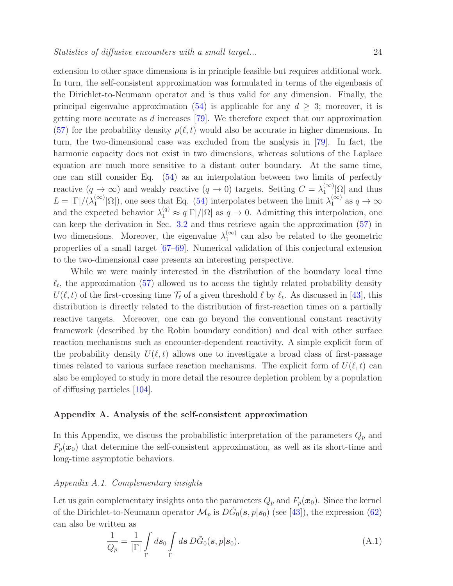extension to other space dimensions is in principle feasible but requires additional work. In turn, the self-consistent approximation was formulated in terms of the eigenbasis of the Dirichlet-to-Neumann operator and is thus valid for any dimension. Finally, the principal eigenvalue approximation [\(54\)](#page-11-3) is applicable for any  $d \geq 3$ ; moreover, it is getting more accurate as d increases [\[79\]](#page-31-2). We therefore expect that our approximation [\(57\)](#page-12-0) for the probability density  $\rho(\ell, t)$  would also be accurate in higher dimensions. In turn, the two-dimensional case was excluded from the analysis in [\[79\]](#page-31-2). In fact, the harmonic capacity does not exist in two dimensions, whereas solutions of the Laplace equation are much more sensitive to a distant outer boundary. At the same time, one can still consider Eq. [\(54\)](#page-11-3) as an interpolation between two limits of perfectly reactive  $(q \to \infty)$  and weakly reactive  $(q \to 0)$  targets. Setting  $C = \lambda_1^{(\infty)}$  $\int_{1}^{(\infty)} |\Omega|$  and thus  $L = |\Gamma|/(\lambda_1^{(\infty)})$  $\binom{\infty}{1}$  (2), one sees that Eq. [\(54\)](#page-11-3) interpolates between the limit  $\lambda_1^{(\infty)}$  as  $q \to \infty$ and the expected behavior  $\lambda_1^{(q)} \approx q|\Gamma|/|\Omega|$  as  $q \to 0$ . Admitting this interpolation, one can keep the derivation in Sec. [3.2](#page-11-0) and thus retrieve again the approximation [\(57\)](#page-12-0) in two dimensions. Moreover, the eigenvalue  $\lambda_1^{(\infty)}$  $_1^{\infty}$  can also be related to the geometric properties of a small target [\[67](#page-30-3)[–69\]](#page-30-7). Numerical validation of this conjectural extension to the two-dimensional case presents an interesting perspective.

While we were mainly interested in the distribution of the boundary local time  $\ell_t$ , the approximation [\(57\)](#page-12-0) allowed us to access the tightly related probability density  $U(\ell, t)$  of the first-crossing time  $\mathcal{T}_{\ell}$  of a given threshold  $\ell$  by  $\ell_t$ . As discussed in [\[43\]](#page-29-4), this distribution is directly related to the distribution of first-reaction times on a partially reactive targets. Moreover, one can go beyond the conventional constant reactivity framework (described by the Robin boundary condition) and deal with other surface reaction mechanisms such as encounter-dependent reactivity. A simple explicit form of the probability density  $U(\ell,t)$  allows one to investigate a broad class of first-passage times related to various surface reaction mechanisms. The explicit form of  $U(\ell, t)$  can also be employed to study in more detail the resource depletion problem by a population of diffusing particles [\[104\]](#page-32-0).

#### <span id="page-23-0"></span>Appendix A. Analysis of the self-consistent approximation

In this Appendix, we discuss the probabilistic interpretation of the parameters  $Q_p$  and  $F_p(x_0)$  that determine the self-consistent approximation, as well as its short-time and long-time asymptotic behaviors.

## Appendix A.1. Complementary insights

Let us gain complementary insights onto the parameters  $Q_p$  and  $F_p(x_0)$ . Since the kernel of the Dirichlet-to-Neumann operator  $\mathcal{M}_p$  is  $D\tilde{G}_0(s,p|s_0)$  (see [\[43\]](#page-29-4)), the expression [\(62\)](#page-13-1) can also be written as

<span id="page-23-1"></span>
$$
\frac{1}{Q_p} = \frac{1}{|\Gamma|} \int_{\Gamma} ds_0 \int_{\Gamma} ds \, D\tilde{G}_0(s, p|s_0). \tag{A.1}
$$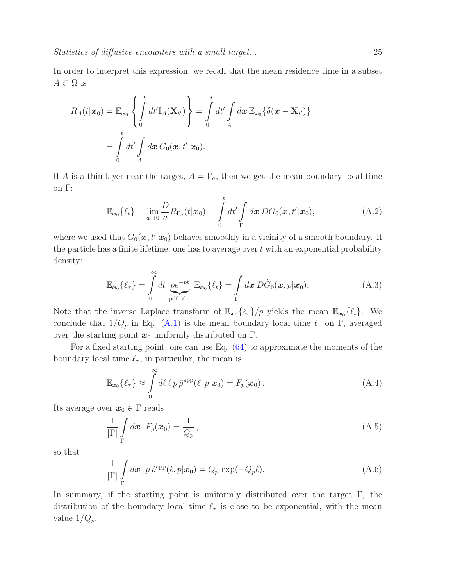In order to interpret this expression, we recall that the mean residence time in a subset  $A \subset \Omega$  is

$$
R_A(t|\boldsymbol{x}_0) = \mathbb{E}_{\boldsymbol{x}_0} \left\{ \int_0^t dt' \mathbb{I}_A(\mathbf{X}_{t'}) \right\} = \int_0^t dt' \int_A d\boldsymbol{x} \, \mathbb{E}_{\boldsymbol{x}_0} \{ \delta(\boldsymbol{x} - \mathbf{X}_{t'}) \}
$$

$$
= \int_0^t dt' \int_A d\boldsymbol{x} \, G_0(\boldsymbol{x}, t'|\boldsymbol{x}_0).
$$

If A is a thin layer near the target,  $A = \Gamma_a$ , then we get the mean boundary local time on Γ:

$$
\mathbb{E}_{\boldsymbol{x}_0}\{\ell_t\} = \lim_{a \to 0} \frac{D}{a} R_{\Gamma_a}(t|\boldsymbol{x}_0) = \int_0^t dt' \int_{\Gamma} d\boldsymbol{x} \, DG_0(\boldsymbol{x}, t'|\boldsymbol{x}_0), \tag{A.2}
$$

where we used that  $G_0(\mathbf{x}, t'|\mathbf{x}_0)$  behaves smoothly in a vicinity of a smooth boundary. If the particle has a finite lifetime, one has to average over  $t$  with an exponential probability density:

$$
\mathbb{E}_{\boldsymbol{x}_0}\{\ell_{\tau}\} = \int\limits_0^{\infty} dt \underbrace{p e^{-pt}}_{\text{pdf of }\tau} \mathbb{E}_{\boldsymbol{x}_0}\{\ell_t\} = \int\limits_{\Gamma} d\boldsymbol{x} \, D\tilde{G}_0(\boldsymbol{x}, p|\boldsymbol{x}_0). \tag{A.3}
$$

Note that the inverse Laplace transform of  $\mathbb{E}_{x_0} \{\ell_{\tau}\}/p$  yields the mean  $\mathbb{E}_{x_0} \{\ell_t\}$ . We conclude that  $1/Q_p$  in Eq. [\(A.1\)](#page-23-1) is the mean boundary local time  $\ell_{\tau}$  on  $\Gamma$ , averaged over the starting point  $x_0$  uniformly distributed on  $\Gamma$ .

For a fixed starting point, one can use Eq. [\(64\)](#page-14-0) to approximate the moments of the boundary local time  $\ell_{\tau}$ , in particular, the mean is

$$
\mathbb{E}_{\boldsymbol{x}_0}\{\ell_{\tau}\} \approx \int\limits_0^{\infty} d\ell \,\ell \, p \,\tilde{\rho}^{\rm app}(\ell, p|\boldsymbol{x}_0) = F_p(\boldsymbol{x}_0) \,. \tag{A.4}
$$

Its average over  $x_0 \in \Gamma$  reads

$$
\frac{1}{|\Gamma|} \int\limits_{\Gamma} d\boldsymbol{x}_0 \, F_p(\boldsymbol{x}_0) = \frac{1}{Q_p} \,, \tag{A.5}
$$

so that

$$
\frac{1}{|\Gamma|} \int\limits_{\Gamma} d\boldsymbol{x}_0 \, p \, \tilde{\rho}^{\text{app}}(\ell, p | \boldsymbol{x}_0) = Q_p \, \exp(-Q_p \ell). \tag{A.6}
$$

In summary, if the starting point is uniformly distributed over the target Γ, the distribution of the boundary local time  $\ell_{\tau}$  is close to be exponential, with the mean value  $1/Q_p$ .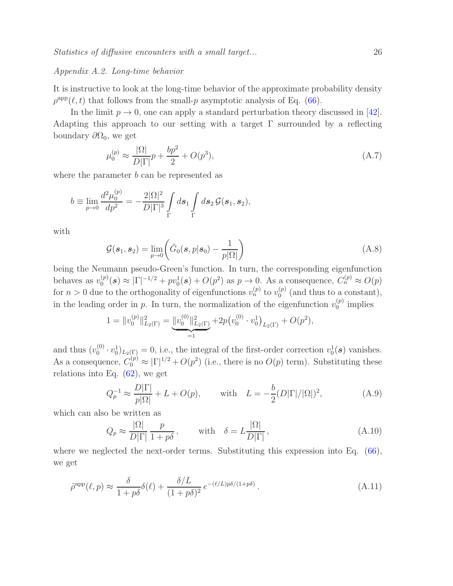#### Appendix A.2. Long-time behavior

It is instructive to look at the long-time behavior of the approximate probability density  $\rho^{\text{app}}(\ell, t)$  that follows from the small-p asymptotic analysis of Eq. [\(66\)](#page-14-2).

In the limit  $p \to 0$ , one can apply a standard perturbation theory discussed in [\[42\]](#page-29-3). Adapting this approach to our setting with a target  $\Gamma$  surrounded by a reflecting boundary  $\partial\Omega_0$ , we get

$$
\mu_0^{(p)} \approx \frac{|\Omega|}{D|\Gamma|} p + \frac{bp^2}{2} + O(p^3),\tag{A.7}
$$

where the parameter  $b$  can be represented as

$$
b \equiv \lim_{p \to 0} \frac{d^2 \mu_0^{(p)}}{dp^2} = -\frac{2|\Omega|^2}{D|\Gamma|^3} \int_{\Gamma} ds_1 \int_{\Gamma} ds_2 \mathcal{G}(s_1, s_2),
$$

with

$$
\mathcal{G}(\boldsymbol{s}_1, \boldsymbol{s}_2) = \lim_{p \to 0} \left( \tilde{G}_0(\boldsymbol{s}, p | \boldsymbol{s}_0) - \frac{1}{p | \Omega |} \right) \tag{A.8}
$$

being the Neumann pseudo-Green's function. In turn, the corresponding eigenfunction behaves as  $v_0^{(p)}$  $\mathcal{O}_0^{(p)}(\mathbf{s}) \approx |\Gamma|^{-1/2} + pv_0^1(\mathbf{s}) + O(p^2)$  as  $p \to 0$ . As a consequence,  $C_n^{(p)} \approx O(p)$ for  $n > 0$  due to the orthogonality of eigenfunctions  $v_n^{(p)}$  to  $v_0^{(p)}$  $_{0}^{(p)}$  (and thus to a constant), in the leading order in p. In turn, the normalization of the eigenfunction  $v_0^{(p)}$  $\binom{p}{0}$  implies

$$
1 = ||v_0^{(p)}||_{L_2(\Gamma)}^2 = \underbrace{||v_0^{(0)}||_{L_2(\Gamma)}^2}_{=1} + 2p(v_0^{(0)} \cdot v_0^1)_{L_2(\Gamma)} + O(p^2),
$$

and thus  $(v_0^{(0)}$  $(v_0^{(0)} \cdot v_0^{1})_{L_2(\Gamma)} = 0$ , i.e., the integral of the first-order correction  $v_0^{1}(\mathbf{s})$  vanishes. As a consequence,  $C_0^{(p)} \approx |\Gamma|^{1/2} + O(p^2)$  (i.e., there is no  $O(p)$  term). Substituting these relations into Eq.  $(62)$ , we get

$$
Q_p^{-1} \approx \frac{D|\Gamma|}{p|\Omega|} + L + O(p), \quad \text{with} \quad L = -\frac{b}{2}(D|\Gamma|/|\Omega|)^2,\tag{A.9}
$$

which can also be written as

$$
Q_p \approx \frac{|\Omega|}{D|\Gamma|} \frac{p}{1 + p\delta}, \quad \text{with} \quad \delta = L \frac{|\Omega|}{D|\Gamma|}, \tag{A.10}
$$

where we neglected the next-order terms. Substituting this expression into Eq.  $(66)$ , we get

$$
\tilde{\rho}^{\rm app}(\ell, p) \approx \frac{\delta}{1 + p\delta} \delta(\ell) + \frac{\delta/L}{(1 + p\delta)^2} e^{-(\ell/L)p\delta/(1 + p\delta)}.
$$
\n(A.11)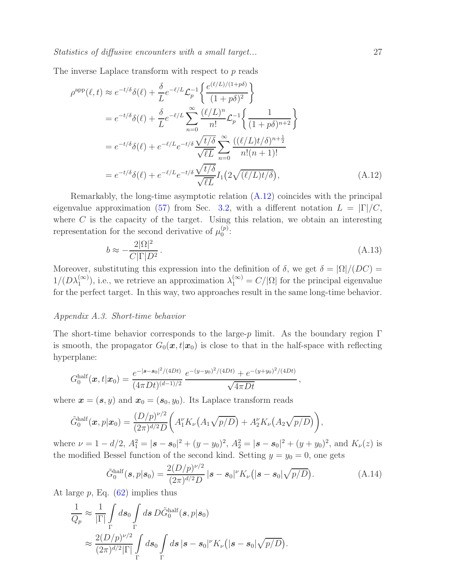The inverse Laplace transform with respect to p reads

$$
\rho^{\text{app}}(\ell, t) \approx e^{-t/\delta} \delta(\ell) + \frac{\delta}{L} e^{-\ell/L} \mathcal{L}_p^{-1} \left\{ \frac{e^{(\ell/L)/(1+p\delta)}}{(1+p\delta)^2} \right\}
$$
  
=  $e^{-t/\delta} \delta(\ell) + \frac{\delta}{L} e^{-\ell/L} \sum_{n=0}^{\infty} \frac{(\ell/L)^n}{n!} \mathcal{L}_p^{-1} \left\{ \frac{1}{(1+p\delta)^{n+2}} \right\}$   
=  $e^{-t/\delta} \delta(\ell) + e^{-\ell/L} e^{-t/\delta} \frac{\sqrt{t/\delta}}{\sqrt{\ell L}} \sum_{n=0}^{\infty} \frac{((\ell/L)t/\delta)^{n+\frac{1}{2}}}{n!(n+1)!}$   
=  $e^{-t/\delta} \delta(\ell) + e^{-\ell/L} e^{-t/\delta} \frac{\sqrt{t/\delta}}{\sqrt{\ell L}} I_1(2\sqrt{(\ell/L)t/\delta}),$  (A.12)

Remarkably, the long-time asymptotic relation [\(A.12\)](#page-26-0) coincides with the principal eigenvalue approximation [\(57\)](#page-12-0) from Sec. [3.2,](#page-11-0) with a different notation  $L = |\Gamma|/C$ , where  $C$  is the capacity of the target. Using this relation, we obtain an interesting representation for the second derivative of  $\mu_0^{(p)}$  $0^{(p)}$ :

<span id="page-26-0"></span>
$$
b \approx -\frac{2|\Omega|^2}{C|\Gamma|D^2}.\tag{A.13}
$$

Moreover, substituting this expression into the definition of  $\delta$ , we get  $\delta = |\Omega|/(DC)$  $1/(D\lambda_1^{(\infty)})$ , i.e., we retrieve an approximation  $\lambda_1^{(\infty)} = C/|\Omega|$  for the principal eigenvalue for the perfect target. In this way, two approaches result in the same long-time behavior.

#### Appendix A.3. Short-time behavior

The short-time behavior corresponds to the large-p limit. As the boundary region  $\Gamma$ is smooth, the propagator  $G_0(\mathbf{x}, t|\mathbf{x}_0)$  is close to that in the half-space with reflecting hyperplane:

$$
G_0^{\text{half}}(\boldsymbol{x},t|\boldsymbol{x}_0) = \frac{e^{-|\boldsymbol{s}-\boldsymbol{s}_0|^2/(4Dt)}}{(4\pi Dt)^{(d-1)/2}} \frac{e^{-(y-y_0)^2/(4Dt)} + e^{-(y+y_0)^2/(4Dt)}}{\sqrt{4\pi Dt}},
$$

where  $\mathbf{x} = (\mathbf{s}, y)$  and  $\mathbf{x}_0 = (\mathbf{s}_0, y_0)$ . Its Laplace transform reads

$$
\tilde{G}_0^{\text{half}}(\boldsymbol{x},p|\boldsymbol{x}_0)=\frac{(D/p)^{\nu/2}}{(2\pi)^{d/2}D}\bigg(A_1'K_{\nu}\big(A_1\sqrt{p/D}\big)+A_2'K_{\nu}\big(A_2\sqrt{p/D}\big)\bigg),
$$

where  $\nu = 1 - d/2$ ,  $A_1^2 = |\mathbf{s} - \mathbf{s}_0|^2 + (y - y_0)^2$ ,  $A_2^2 = |\mathbf{s} - \mathbf{s}_0|^2 + (y + y_0)^2$ , and  $K_{\nu}(z)$  is the modified Bessel function of the second kind. Setting  $y = y_0 = 0$ , one gets

$$
\tilde{G}_0^{\text{half}}(\boldsymbol{s}, p|\boldsymbol{s}_0) = \frac{2(D/p)^{\nu/2}}{(2\pi)^{d/2}D} |\boldsymbol{s} - \boldsymbol{s}_0|^{\nu} K_{\nu}(|\boldsymbol{s} - \boldsymbol{s}_0| \sqrt{p/D}). \tag{A.14}
$$

At large  $p$ , Eq.  $(62)$  implies thus

$$
\frac{1}{Q_p} \approx \frac{1}{|\Gamma|} \int_{\Gamma} ds_0 \int_{\Gamma} ds \, D\tilde{G}_0^{\text{half}}(s, p|s_0) \n\approx \frac{2(D/p)^{\nu/2}}{(2\pi)^{d/2}|\Gamma|} \int_{\Gamma} ds_0 \int_{\Gamma} ds \, |s - s_0|^{\nu} K_{\nu}(|s - s_0| \sqrt{p/D}).
$$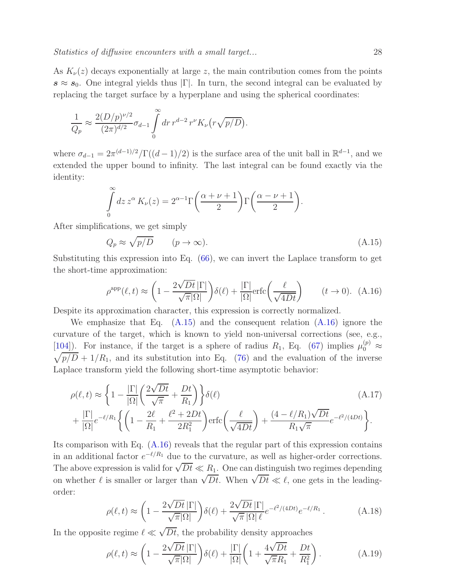As  $K_{\nu}(z)$  decays exponentially at large z, the main contribution comes from the points  $s \approx s_0$ . One integral yields thus  $|\Gamma|$ . In turn, the second integral can be evaluated by replacing the target surface by a hyperplane and using the spherical coordinates:

$$
\frac{1}{Q_p} \approx \frac{2(D/p)^{\nu/2}}{(2\pi)^{d/2}} \sigma_{d-1} \int\limits_{0}^{\infty} dr \, r^{d-2} \, r^{\nu} K_{\nu} \big( r \sqrt{p/D} \big).
$$

where  $\sigma_{d-1} = 2\pi^{(d-1)/2} / \Gamma((d-1)/2)$  is the surface area of the unit ball in  $\mathbb{R}^{d-1}$ , and we extended the upper bound to infinity. The last integral can be found exactly via the identity:

$$
\int_{0}^{\infty} dz \, z^{\alpha} \, K_{\nu}(z) = 2^{\alpha - 1} \Gamma\left(\frac{\alpha + \nu + 1}{2}\right) \Gamma\left(\frac{\alpha - \nu + 1}{2}\right).
$$

After simplifications, we get simply

<span id="page-27-0"></span>
$$
Q_p \approx \sqrt{p/D} \qquad (p \to \infty). \tag{A.15}
$$

Substituting this expression into Eq. [\(66\)](#page-14-2), we can invert the Laplace transform to get the short-time approximation:

<span id="page-27-1"></span>
$$
\rho^{\rm app}(\ell, t) \approx \left(1 - \frac{2\sqrt{Dt} \, |\Gamma|}{\sqrt{\pi} |\Omega|}\right) \delta(\ell) + \frac{|\Gamma|}{|\Omega|} \text{erfc}\left(\frac{\ell}{\sqrt{4Dt}}\right) \qquad (t \to 0). \tag{A.16}
$$

Despite its approximation character, this expression is correctly normalized.

We emphasize that Eq.  $(A.15)$  and the consequent relation  $(A.16)$  ignore the curvature of the target, which is known to yield non-universal corrections (see, e.g., [\[104\]](#page-32-0)). For instance, if the target is a sphere of radius  $R_1$ , Eq. [\(67\)](#page-15-3) implies  $\mu_0^{(p)} \approx$  $\sqrt{p/D} + 1/R_1$ , and its substitution into Eq. [\(76\)](#page-16-2) and the evaluation of the inverse Laplace transform yield the following short-time asymptotic behavior:

$$
\rho(\ell, t) \approx \left\{ 1 - \frac{|\Gamma|}{|\Omega|} \left( \frac{2\sqrt{Dt}}{\sqrt{\pi}} + \frac{Dt}{R_1} \right) \right\} \delta(\ell)
$$
\n
$$
+ \frac{|\Gamma|}{|\Omega|} e^{-\ell/R_1} \left\{ \left( 1 - \frac{2\ell}{R_1} + \frac{\ell^2 + 2Dt}{2R_1^2} \right) \text{erfc} \left( \frac{\ell}{\sqrt{4Dt}} \right) + \frac{(4 - \ell/R_1)\sqrt{Dt}}{R_1\sqrt{\pi}} e^{-\ell^2/(4Dt)} \right\}.
$$
\n(A.17)

Its comparison with Eq. [\(A.16\)](#page-27-1) reveals that the regular part of this expression contains in an additional factor  $e^{-\ell/R_1}$  due to the curvature, as well as higher-order corrections. The above expression is valid for  $\sqrt{Dt} \ll R_1$ . One can distinguish two regimes depending on whether  $\ell$  is smaller or larger than  $\sqrt{Dt}$ . When  $\sqrt{Dt} \ll \ell$ , one gets in the leadingorder:

$$
\rho(\ell, t) \approx \left(1 - \frac{2\sqrt{Dt} \left|\Gamma\right|}{\sqrt{\pi} |\Omega|}\right) \delta(\ell) + \frac{2\sqrt{Dt} \left|\Gamma\right|}{\sqrt{\pi} |\Omega| \ell} e^{-\ell^2/(4Dt)} e^{-\ell/R_1} \,. \tag{A.18}
$$

In the opposite regime  $\ell \ll \sqrt{Dt}$ , the probability density approaches

$$
\rho(\ell, t) \approx \left(1 - \frac{2\sqrt{Dt} \, |\Gamma|}{\sqrt{\pi} |\Omega|}\right) \delta(\ell) + \frac{|\Gamma|}{|\Omega|} \left(1 + \frac{4\sqrt{Dt}}{\sqrt{\pi} R_1} + \frac{Dt}{R_1^2}\right). \tag{A.19}
$$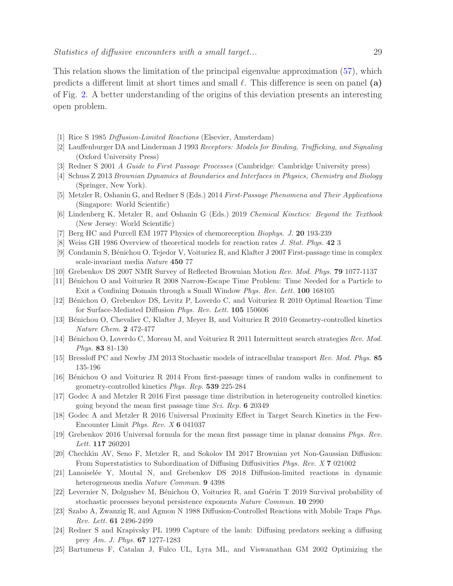This relation shows the limitation of the principal eigenvalue approximation [\(57\)](#page-12-0), which predicts a different limit at short times and small  $\ell$ . This difference is seen on panel (a) of Fig. [2.](#page-17-0) A better understanding of the origins of this deviation presents an interesting open problem.

- <span id="page-28-0"></span>[1] Rice S 1985 Diffusion-Limited Reactions (Elsevier, Amsterdam)
- [2] Lauffenburger DA and Linderman J 1993 Receptors: Models for Binding, Trafficking, and Signaling (Oxford University Press)
- [3] Redner S 2001 A Guide to First Passage Processes (Cambridge: Cambridge University press)
- [4] Schuss Z 2013 Brownian Dynamics at Boundaries and Interfaces in Physics, Chemistry and Biology (Springer, New York).
- [5] Metzler R, Oshanin G, and Redner S (Eds.) 2014 First-Passage Phenomena and Their Applications (Singapore: World Scientific)
- [6] Lindenberg K, Metzler R, and Oshanin G (Eds.) 2019 Chemical Kinetics: Beyond the Textbook (New Jersey: World Scientific)
- [7] Berg HC and Purcell EM 1977 Physics of chemoreception Biophys. J. 20 193-239
- [8] Weiss GH 1986 Overview of theoretical models for reaction rates J. Stat. Phys. 42 3
- [9] Condamin S, B´enichou O, Tejedor V, Voituriez R, and Klafter J 2007 First-passage time in complex scale-invariant media Nature 450 77
- [10] Grebenkov DS 2007 NMR Survey of Reflected Brownian Motion Rev. Mod. Phys. 79 1077-1137
- [11] Bénichou O and Voituriez R 2008 Narrow-Escape Time Problem: Time Needed for a Particle to Exit a Confining Domain through a Small Window Phys. Rev. Lett. 100 168105
- [12] Bénichou O, Grebenkov DS, Levitz P, Loverdo C, and Voituriez R 2010 Optimal Reaction Time for Surface-Mediated Diffusion Phys. Rev. Lett. 105 150606
- [13] Bénichou O, Chevalier C, Klafter J, Meyer B, and Voituriez R 2010 Geometry-controlled kinetics Nature Chem. 2 472-477
- [14] Bénichou O, Loverdo C, Moreau M, and Voituriez R 2011 Intermittent search strategies Rev. Mod. Phys. 83 81-130
- [15] Bressloff PC and Newby JM 2013 Stochastic models of intracellular transport Rev. Mod. Phys. 85 135-196
- [16] Bénichou O and Voituriez R 2014 From first-passage times of random walks in confinement to geometry-controlled kinetics Phys. Rep. 539 225-284
- [17] Godec A and Metzler R 2016 First passage time distribution in heterogeneity controlled kinetics: going beyond the mean first passage time Sci. Rep. 6 20349
- [18] Godec A and Metzler R 2016 Universal Proximity Effect in Target Search Kinetics in the Few-Encounter Limit Phys. Rev. X 6 041037
- [19] Grebenkov 2016 Universal formula for the mean first passage time in planar domains Phys. Rev. Lett. 117 260201
- [20] Chechkin AV, Seno F, Metzler R, and Sokolov IM 2017 Brownian yet Non-Gaussian Diffusion: From Superstatistics to Subordination of Diffusing Diffusivities Phys. Rev. X 7 021002
- [21] Lanoisel´ee Y, Moutal N, and Grebenkov DS 2018 Diffusion-limited reactions in dynamic heterogeneous media Nature Commun. 9 4398
- <span id="page-28-2"></span><span id="page-28-1"></span>[22] Levernier N, Dolgushev M, Bénichou O, Voituriez R, and Guérin T 2019 Survival probability of stochastic processes beyond persistence exponents Nature Commun. 10 2990
- [23] Szabo A, Zwanzig R, and Agmon N 1988 Diffusion-Controlled Reactions with Mobile Traps Phys. Rev. Lett. 61 2496-2499
- [24] Redner S and Krapivsky PL 1999 Capture of the lamb: Diffusing predators seeking a diffusing prey Am. J. Phys. 67 1277-1283
- [25] Bartumeus F, Catalan J, Fulco UL, Lyra ML, and Viswanathan GM 2002 Optimizing the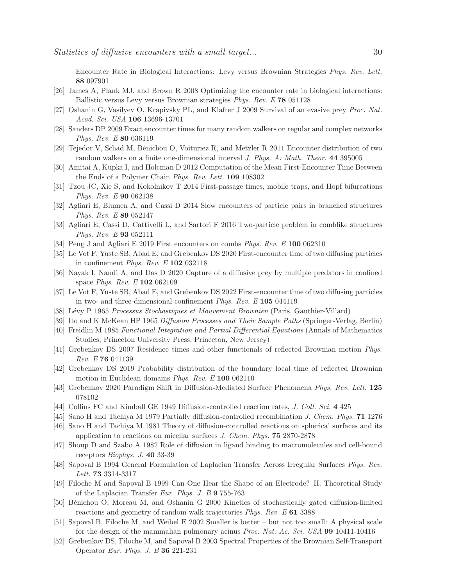Encounter Rate in Biological Interactions: Levy versus Brownian Strategies Phys. Rev. Lett. 88 097901

- [26] James A, Plank MJ, and Brown R 2008 Optimizing the encounter rate in biological interactions: Ballistic versus Levy versus Brownian strategies Phys. Rev. E 78 051128
- [27] Oshanin G, Vasilyev O, Krapivsky PL, and Klafter J 2009 Survival of an evasive prey Proc. Nat. Acad. Sci. USA 106 13696-13701
- [28] Sanders DP 2009 Exact encounter times for many random walkers on regular and complex networks Phys. Rev. E 80 036119
- [29] Tejedor V, Schad M, B´enichou O, Voituriez R, and Metzler R 2011 Encounter distribution of two random walkers on a finite one-dimensional interval *J. Phys. A: Math. Theor.* 44 395005
- [30] Amitai A, Kupka I, and Holcman D 2012 Computation of the Mean First-Encounter Time Between the Ends of a Polymer Chain Phys. Rev. Lett. 109 108302
- [31] Tzou JC, Xie S, and Kokolnikov T 2014 First-passage times, mobile traps, and Hopf bifurcations Phys. Rev. E 90 062138
- [32] Agliari E, Blumen A, and Cassi D 2014 Slow encounters of particle pairs in branched structures Phys. Rev. E 89 052147
- [33] Agliari E, Cassi D, Cattivelli L, and Sartori F 2016 Two-particle problem in comblike structures Phys. Rev. E 93 052111
- [34] Peng J and Agliari E 2019 First encounters on combs *Phys. Rev. E* 100 062310
- [35] Le Vot F, Yuste SB, Abad E, and Grebenkov DS 2020 First-encounter time of two diffusing particles in confinement *Phys. Rev. E*  $102$  032118
- <span id="page-29-0"></span>[36] Nayak I, Nandi A, and Das D 2020 Capture of a diffusive prey by multiple predators in confined space Phys. Rev. E 102 062109
- <span id="page-29-1"></span>[37] Le Vot F, Yuste SB, Abad E, and Grebenkov DS 2022 First-encounter time of two diffusing particles in two- and three-dimensional confinement Phys. Rev. E 105 044119
- <span id="page-29-6"></span>[38] L´evy P 1965 Processus Stochastiques et Mouvement Brownien (Paris, Gauthier-Villard)
- <span id="page-29-7"></span>[39] Ito and K McKean HP 1965 Diffusion Processes and Their Sample Paths (Springer-Verlag, Berlin)
- <span id="page-29-2"></span>[40] Freidlin M 1985 Functional Integration and Partial Differential Equations (Annals of Mathematics Studies, Princeton University Press, Princeton, New Jersey)
- <span id="page-29-3"></span>[41] Grebenkov DS 2007 Residence times and other functionals of reflected Brownian motion Phys. Rev. E 76 041139
- <span id="page-29-4"></span>[42] Grebenkov DS 2019 Probability distribution of the boundary local time of reflected Brownian motion in Euclidean domains Phys. Rev. E 100 062110
- <span id="page-29-5"></span>[43] Grebenkov 2020 Paradigm Shift in Diffusion-Mediated Surface Phenomena Phys. Rev. Lett. 125 078102
- [44] Collins FC and Kimball GE 1949 Diffusion-controlled reaction rates, J. Coll. Sci. 4 425
- [45] Sano H and Tachiya M 1979 Partially diffusion-controlled recombination J. Chem. Phys. 71 1276
- [46] Sano H and Tachiya M 1981 Theory of diffusion-controlled reactions on spherical surfaces and its application to reactions on micellar surfaces J. Chem. Phys. 75 2870-2878
- [47] Shoup D and Szabo A 1982 Role of diffusion in ligand binding to macromolecules and cell-bound receptors Biophys. J. 40 33-39
- [48] Sapoval B 1994 General Formulation of Laplacian Transfer Across Irregular Surfaces Phys. Rev. Lett. 73 3314-3317
- [49] Filoche M and Sapoval B 1999 Can One Hear the Shape of an Electrode? II. Theoretical Study of the Laplacian Transfer Eur. Phys. J. B 9 755-763
- [50] Bénichou O, Moreau M, and Oshanin G 2000 Kinetics of stochastically gated diffusion-limited reactions and geometry of random walk trajectories Phys. Rev. E 61 3388
- [51] Sapoval B, Filoche M, and Weibel E 2002 Smaller is better but not too small: A physical scale for the design of the mammalian pulmonary acinus Proc. Nat. Ac. Sci. USA 99 10411-10416
- [52] Grebenkov DS, Filoche M, and Sapoval B 2003 Spectral Properties of the Brownian Self-Transport Operator Eur. Phys. J. B 36 221-231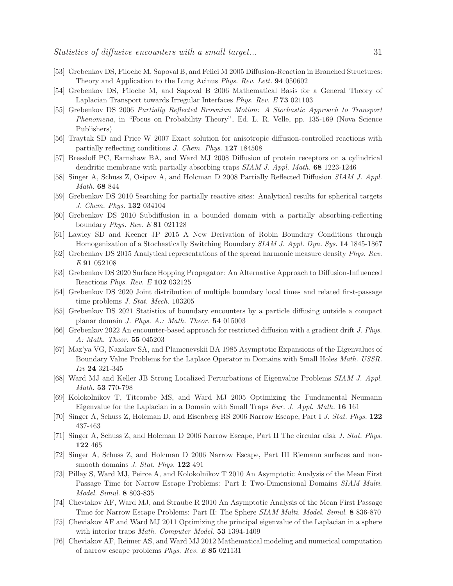- [53] Grebenkov DS, Filoche M, Sapoval B, and Felici M 2005 Diffusion-Reaction in Branched Structures: Theory and Application to the Lung Acinus Phys. Rev. Lett. 94 050602
- [54] Grebenkov DS, Filoche M, and Sapoval B 2006 Mathematical Basis for a General Theory of Laplacian Transport towards Irregular Interfaces Phys. Rev. E 73 021103
- [55] Grebenkov DS 2006 Partially Reflected Brownian Motion: A Stochastic Approach to Transport Phenomena, in "Focus on Probability Theory", Ed. L. R. Velle, pp. 135-169 (Nova Science Publishers)
- [56] Traytak SD and Price W 2007 Exact solution for anisotropic diffusion-controlled reactions with partially reflecting conditions J. Chem. Phys. 127 184508
- [57] Bressloff PC, Earnshaw BA, and Ward MJ 2008 Diffusion of protein receptors on a cylindrical dendritic membrane with partially absorbing traps SIAM J. Appl. Math. 68 1223-1246
- [58] Singer A, Schuss Z, Osipov A, and Holcman D 2008 Partially Reflected Diffusion SIAM J. Appl. Math. 68 844
- [59] Grebenkov DS 2010 Searching for partially reactive sites: Analytical results for spherical targets J. Chem. Phys. 132 034104
- [60] Grebenkov DS 2010 Subdiffusion in a bounded domain with a partially absorbing-reflecting boundary Phys. Rev. E 81 021128
- <span id="page-30-0"></span>[61] Lawley SD and Keener JP 2015 A New Derivation of Robin Boundary Conditions through Homogenization of a Stochastically Switching Boundary SIAM J. Appl. Dyn. Sys. 14 1845-1867
- <span id="page-30-1"></span>[62] Grebenkov DS 2015 Analytical representations of the spread harmonic measure density Phys. Rev. E 91 052108
- [63] Grebenkov DS 2020 Surface Hopping Propagator: An Alternative Approach to Diffusion-Influenced Reactions Phys. Rev. E 102 032125
- <span id="page-30-6"></span>[64] Grebenkov DS 2020 Joint distribution of multiple boundary local times and related first-passage time problems J. Stat. Mech. 103205
- <span id="page-30-2"></span>[65] Grebenkov DS 2021 Statistics of boundary encounters by a particle diffusing outside a compact planar domain J. Phys. A.: Math. Theor. 54 015003
- <span id="page-30-3"></span>[66] Grebenkov 2022 An encounter-based approach for restricted diffusion with a gradient drift J. Phys. A: Math. Theor. 55 045203
- [67] Maz'ya VG, Nazakov SA, and Plamenevskii BA 1985 Asymptotic Expansions of the Eigenvalues of Boundary Value Problems for the Laplace Operator in Domains with Small Holes Math. USSR. Izv 24 321-345
- <span id="page-30-7"></span>[68] Ward MJ and Keller JB Strong Localized Perturbations of Eigenvalue Problems SIAM J. Appl. Math. 53 770-798
- [69] Kolokolnikov T, Titcombe MS, and Ward MJ 2005 Optimizing the Fundamental Neumann Eigenvalue for the Laplacian in a Domain with Small Traps Eur. J. Appl. Math. 16 161
- [70] Singer A, Schuss Z, Holcman D, and Eisenberg RS 2006 Narrow Escape, Part I J. Stat. Phys. 122 437-463
- [71] Singer A, Schuss Z, and Holcman D 2006 Narrow Escape, Part II The circular disk J. Stat. Phys. 122 465
- [72] Singer A, Schuss Z, and Holcman D 2006 Narrow Escape, Part III Riemann surfaces and nonsmooth domains *J. Stat. Phys.* **122** 491
- [73] Pillay S, Ward MJ, Peirce A, and Kolokolnikov T 2010 An Asymptotic Analysis of the Mean First Passage Time for Narrow Escape Problems: Part I: Two-Dimensional Domains SIAM Multi. Model. Simul. 8 803-835
- [74] Cheviakov AF, Ward MJ, and Straube R 2010 An Asymptotic Analysis of the Mean First Passage Time for Narrow Escape Problems: Part II: The Sphere SIAM Multi. Model. Simul. 8 836-870
- <span id="page-30-5"></span>[75] Cheviakov AF and Ward MJ 2011 Optimizing the principal eigenvalue of the Laplacian in a sphere with interior traps *Math. Computer Model*. **53** 1394-1409
- <span id="page-30-4"></span>[76] Cheviakov AF, Reimer AS, and Ward MJ 2012 Mathematical modeling and numerical computation of narrow escape problems Phys. Rev. E 85 021131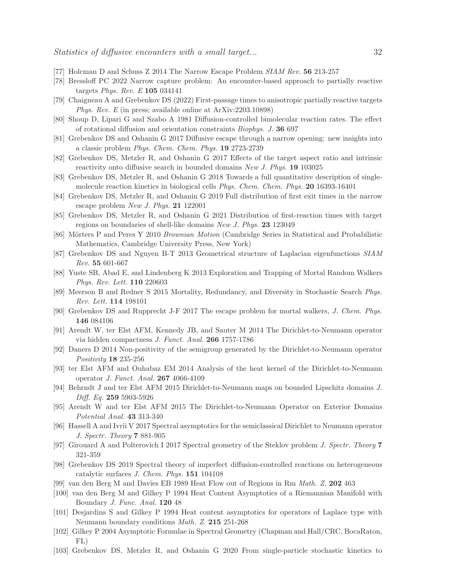- <span id="page-31-1"></span><span id="page-31-0"></span>[77] Holcman D and Schuss Z 2014 The Narrow Escape Problem SIAM Rev. 56 213-257
- <span id="page-31-2"></span>[78] Bressloff PC 2022 Narrow capture problem: An encounter-based approach to partially reactive targets Phys. Rev. E 105 034141
- <span id="page-31-3"></span>[79] Chaigneau A and Grebenkov DS (2022) First-passage times to anisotropic partially reactive targets Phys. Rev. E (in press; available online at ArXiv:2203.10898)
- <span id="page-31-4"></span>[80] Shoup D, Lipari G and Szabo A 1981 Diffusion-controlled bimolecular reaction rates. The effect of rotational diffusion and orientation constraints Biophys. J. 36 697
- [81] Grebenkov DS and Oshanin G 2017 Diffusive escape through a narrow opening: new insights into a classic problem Phys. Chem. Chem. Phys. 19 2723-2739
- [82] Grebenkov DS, Metzler R, and Oshanin G 2017 Effects of the target aspect ratio and intrinsic reactivity onto diffusive search in bounded domains New J. Phys. 19 103025
- [83] Grebenkov DS, Metzler R, and Oshanin G 2018 Towards a full quantitative description of singlemolecule reaction kinetics in biological cells Phys. Chem. Chem. Phys. 20 16393-16401
- <span id="page-31-5"></span>[84] Grebenkov DS, Metzler R, and Oshanin G 2019 Full distribution of first exit times in the narrow escape problem New J. Phys. 21 122001
- <span id="page-31-6"></span>[85] Grebenkov DS, Metzler R, and Oshanin G 2021 Distribution of first-reaction times with target regions on boundaries of shell-like domains New J. Phys. 23 123049
- <span id="page-31-7"></span>[86] Mörters P and Peres Y 2010 Brownian Motion (Cambridge Series in Statistical and Probabilistic Mathematics, Cambridge University Press, New York)
- <span id="page-31-8"></span>[87] Grebenkov DS and Nguyen B-T 2013 Geometrical structure of Laplacian eigenfunctions SIAM Rev. 55 601-667
- [88] Yuste SB, Abad E, and Lindenberg K 2013 Exploration and Trapping of Mortal Random Walkers Phys. Rev. Lett. 110 220603
- <span id="page-31-9"></span>[89] Meerson B and Redner S 2015 Mortality, Redundancy, and Diversity in Stochastic Search Phys. Rev. Lett. 114 198101
- <span id="page-31-10"></span>[90] Grebenkov DS and Rupprecht J-F 2017 The escape problem for mortal walkers, J. Chem. Phys. 146 084106
- [91] Arendt W, ter Elst AFM, Kennedy JB, and Sauter M 2014 The Dirichlet-to-Neumann operator via hidden compactness J. Funct. Anal. 266 1757-1786
- [92] Daners D 2014 Non-positivity of the semigroup generated by the Dirichlet-to-Neumann operator Positivity 18 235-256
- [93] ter Elst AFM and Ouhabaz EM 2014 Analysis of the heat kernel of the Dirichlet-to-Neumann operator J. Funct. Anal. 267 4066-4109
- [94] Behrndt J and ter Elst AFM 2015 Dirichlet-to-Neumann maps on bounded Lipschitz domains J. Diff. Eq. 259 5903-5926
- [95] Arendt W and ter Elst AFM 2015 The Dirichlet-to-Neumann Operator on Exterior Domains Potential Anal. 43 313-340
- [96] Hassell A and Ivrii V 2017 Spectral asymptotics for the semiclassical Dirichlet to Neumann operator J. Spectr. Theory 7 881-905
- <span id="page-31-12"></span><span id="page-31-11"></span>[97] Girouard A and Polterovich I 2017 Spectral geometry of the Steklov problem J. Spectr. Theory 7 321-359
- [98] Grebenkov DS 2019 Spectral theory of imperfect diffusion-controlled reactions on heterogeneous catalytic surfaces J. Chem. Phys. 151 104108
- <span id="page-31-13"></span>[99] van den Berg M and Davies EB 1989 Heat Flow out of Regions in Rm Math. Z. 202 463
- [100] van den Berg M and Gilkey P 1994 Heat Content Asymptotics of a Riemannian Manifold with Boundary J. Func. Anal. 120 48
- [101] Desjardins S and Gilkey P 1994 Heat content asymptotics for operators of Laplace type with Neumann boundary conditions Math. Z. 215 251-268
- <span id="page-31-14"></span>[102] Gilkey P 2004 Asymptotic Formulae in Spectral Geometry (Chapman and Hall/CRC, BocaRaton, FL)
- <span id="page-31-15"></span>[103] Grebenkov DS, Metzler R, and Oshanin G 2020 From single-particle stochastic kinetics to